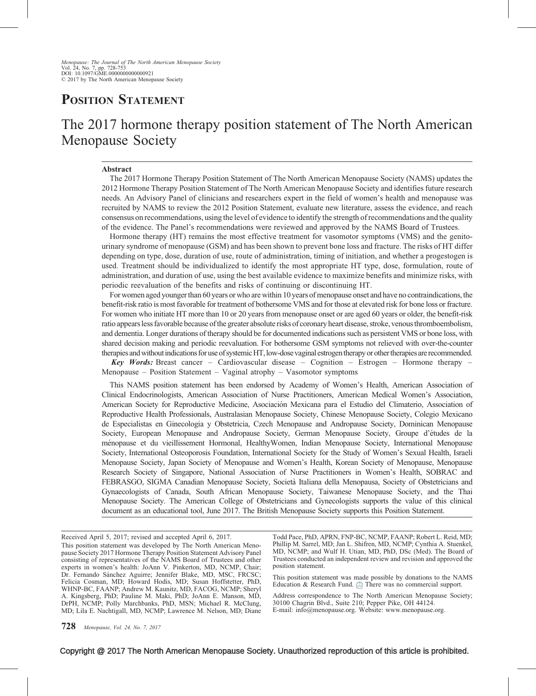# POSITION STATEMENT

# The 2017 hormone therapy position statement of The North American Menopause Society

#### Abstract

The 2017 Hormone Therapy Position Statement of The North American Menopause Society (NAMS) updates the 2012 Hormone Therapy Position Statement of The North American Menopause Society and identifies future research needs. An Advisory Panel of clinicians and researchers expert in the field of women's health and menopause was recruited by NAMS to review the 2012 Position Statement, evaluate new literature, assess the evidence, and reach consensus on recommendations, using the level of evidence to identify the strength of recommendations and the quality of the evidence. The Panel's recommendations were reviewed and approved by the NAMS Board of Trustees.

Hormone therapy (HT) remains the most effective treatment for vasomotor symptoms (VMS) and the genitourinary syndrome of menopause (GSM) and has been shown to prevent bone loss and fracture. The risks of HT differ depending on type, dose, duration of use, route of administration, timing of initiation, and whether a progestogen is used. Treatment should be individualized to identify the most appropriate HT type, dose, formulation, route of administration, and duration of use, using the best available evidence to maximize benefits and minimize risks, with periodic reevaluation of the benefits and risks of continuing or discontinuing HT.

For women aged younger than 60 years or who are within 10 years of menopause onset and have no contraindications, the benefit-risk ratio is most favorable for treatment of bothersome VMS and for those at elevated risk for bone loss or fracture. For women who initiate HT more than 10 or 20 years from menopause onset or are aged 60 years or older, the benefit-risk ratio appearsless favorable because ofthe greater absolute risks of coronary heart disease, stroke, venousthromboembolism, and dementia. Longer durations of therapy should be for documented indications such as persistent VMS or bone loss, with shared decision making and periodic reevaluation. For bothersome GSM symptoms not relieved with over-the-counter therapies and without indications for use of systemic HT, low-dose vaginal estrogen therapy or other therapies are recommended.

**Key Words:** Breast cancer – Cardiovascular disease – Cognition – Estrogen – Hormone therapy – Menopause – Position Statement – Vaginal atrophy – Vasomotor symptoms

This NAMS position statement has been endorsed by Academy of Women's Health, American Association of Clinical Endocrinologists, American Association of Nurse Practitioners, American Medical Women's Association, American Society for Reproductive Medicine, Asociación Mexicana para el Estudio del Climaterio, Association of Reproductive Health Professionals, Australasian Menopause Society, Chinese Menopause Society, Colegio Mexicano de Especialistas en Ginecologia y Obstetricia, Czech Menopause and Andropause Society, Dominican Menopause Society, European Menopause and Andropause Society, German Menopause Society, Groupe d'études de la me´nopause et du vieillissement Hormonal, HealthyWomen, Indian Menopause Society, International Menopause Society, International Osteoporosis Foundation, International Society for the Study of Women's Sexual Health, Israeli Menopause Society, Japan Society of Menopause and Women's Health, Korean Society of Menopause, Menopause Research Society of Singapore, National Association of Nurse Practitioners in Women's Health, SOBRAC and FEBRASGO, SIGMA Canadian Menopause Society, Societa` Italiana della Menopausa, Society of Obstetricians and Gynaecologists of Canada, South African Menopause Society, Taiwanese Menopause Society, and the Thai Menopause Society. The American College of Obstetricians and Gynecologists supports the value of this clinical document as an educational tool, June 2017. The British Menopause Society supports this Position Statement.

This position statement was developed by The North American Menopause Society 2017 Hormone Therapy Position Statement Advisory Panel consisting of representatives of the NAMS Board of Trustees and other experts in women's health: JoAnn V. Pinkerton, MD, NCMP, Chair; Dr. Fernando Sánchez Aguirre; Jennifer Blake, MD, MSC, FRCSC; Felicia Cosman, MD; Howard Hodis, MD; Susan Hoffstetter, PhD, WHNP-BC, FAANP; Andrew M. Kaunitz, MD, FACOG, NCMP; Sheryl A. Kingsberg, PhD; Pauline M. Maki, PhD; JoAnn E. Manson, MD, DrPH, NCMP; Polly Marchbanks, PhD, MSN; Michael R. McClung, MD; Lila E. Nachtigall, MD, NCMP; Lawrence M. Nelson, MD; Diane

Todd Pace, PhD, APRN, FNP-BC, NCMP, FAANP; Robert L. Reid, MD; Phillip M. Sarrel, MD; Jan L. Shifren, MD, NCMP; Cynthia A. Stuenkel, MD, NCMP; and Wulf H. Utian, MD, PhD, DSc (Med). The Board of Trustees conducted an independent review and revision and approved the position statement.

This position statement was made possible by donations to the NAMS Education & Research Fund. There was no commercial support.

Address correspondence to The North American Menopause Society; 30100 Chagrin Blvd., Suite 210; Pepper Pike, OH 44124. E-mail: [info@menopause.org.](mailto:info@menopause.org) Website: [www.menopause.org.](http://www.menopause.org/)

Received April 5, 2017; revised and accepted April 6, 2017.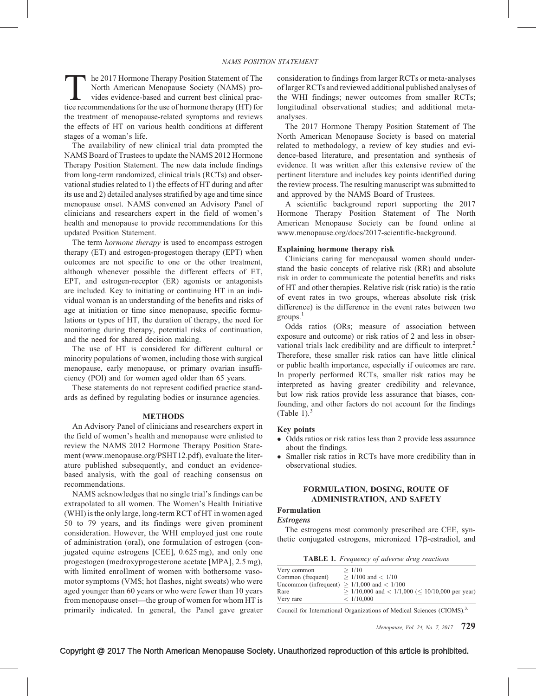The 2017 Hormone Therapy Position Statement of The<br>North American Menopause Society (NAMS) provides evidence-based and current best clinical prac-<br>tice recommendations for the use of hormone therapy (HT) for North American Menopause Society (NAMS) provides evidence-based and current best clinical practice recommendations for the use of hormone therapy (HT) for the treatment of menopause-related symptoms and reviews the effects of HT on various health conditions at different stages of a woman's life.

The availability of new clinical trial data prompted the NAMS Board of Trustees to update the NAMS 2012 Hormone Therapy Position Statement. The new data include findings from long-term randomized, clinical trials (RCTs) and observational studies related to 1) the effects of HT during and after its use and 2) detailed analyses stratified by age and time since menopause onset. NAMS convened an Advisory Panel of clinicians and researchers expert in the field of women's health and menopause to provide recommendations for this updated Position Statement.

The term hormone therapy is used to encompass estrogen therapy (ET) and estrogen-progestogen therapy (EPT) when outcomes are not specific to one or the other treatment, although whenever possible the different effects of ET, EPT, and estrogen-receptor (ER) agonists or antagonists are included. Key to initiating or continuing HT in an individual woman is an understanding of the benefits and risks of age at initiation or time since menopause, specific formulations or types of HT, the duration of therapy, the need for monitoring during therapy, potential risks of continuation, and the need for shared decision making.

The use of HT is considered for different cultural or minority populations of women, including those with surgical menopause, early menopause, or primary ovarian insufficiency (POI) and for women aged older than 65 years.

These statements do not represent codified practice standards as defined by regulating bodies or insurance agencies.

#### METHODS

An Advisory Panel of clinicians and researchers expert in the field of women's health and menopause were enlisted to review the NAMS 2012 Hormone Therapy Position Statement ([www.menopause.org/PSHT12.pdf](http://www.menopause.org/PSHT12.pdf)), evaluate the literature published subsequently, and conduct an evidencebased analysis, with the goal of reaching consensus on recommendations.

NAMS acknowledges that no single trial's findings can be extrapolated to all women. The Women's Health Initiative (WHI) is the only large, long-term RCT of HT in women aged 50 to 79 years, and its findings were given prominent consideration. However, the WHI employed just one route of administration (oral), one formulation of estrogen (conjugated equine estrogens [CEE], 0.625 mg), and only one progestogen (medroxyprogesterone acetate [MPA], 2.5 mg), with limited enrollment of women with bothersome vasomotor symptoms (VMS; hot flashes, night sweats) who were aged younger than 60 years or who were fewer than 10 years from menopause onset—the group of women for whom HT is primarily indicated. In general, the Panel gave greater consideration to findings from larger RCTs or meta-analyses of larger RCTs and reviewed additional published analyses of the WHI findings; newer outcomes from smaller RCTs; longitudinal observational studies; and additional metaanalyses.

The 2017 Hormone Therapy Position Statement of The North American Menopause Society is based on material related to methodology, a review of key studies and evidence-based literature, and presentation and synthesis of evidence. It was written after this extensive review of the pertinent literature and includes key points identified during the review process. The resulting manuscript was submitted to and approved by the NAMS Board of Trustees.

A scientific background report supporting the 2017 Hormone Therapy Position Statement of The North American Menopause Society can be found online at [www.menopause.org/docs/2017-scientific-background](http://www.menopause.org/docs/2017-scientific-background).

#### Explaining hormone therapy risk

Clinicians caring for menopausal women should understand the basic concepts of relative risk (RR) and absolute risk in order to communicate the potential benefits and risks of HT and other therapies. Relative risk (risk ratio) is the ratio of event rates in two groups, whereas absolute risk (risk difference) is the difference in the event rates between two  $groups.<sup>1</sup>$  $groups.<sup>1</sup>$  $groups.<sup>1</sup>$ 

Odds ratios (ORs; measure of association between exposure and outcome) or risk ratios of 2 and less in obser-vational trials lack credibility and are difficult to interpret.<sup>[2](#page-19-0)</sup> Therefore, these smaller risk ratios can have little clinical or public health importance, especially if outcomes are rare. In properly performed RCTs, smaller risk ratios may be interpreted as having greater credibility and relevance, but low risk ratios provide less assurance that biases, confounding, and other factors do not account for the findings (Table 1). $3$ 

#### Key points

- Odds ratios or risk ratios less than 2 provide less assurance about the findings.
- $\bullet$  Smaller risk ratios in RCTs have more credibility than in observational studies.

# FORMULATION, DOSING, ROUTE OF ADMINISTRATION, AND SAFETY

#### Formulation

#### Estrogens

The estrogens most commonly prescribed are CEE, synthetic conjugated estrogens, micronized 17ß-estradiol, and

| <b>TABLE 1.</b> Frequency of adverse drug reactions |  |  |  |  |
|-----------------------------------------------------|--|--|--|--|
|-----------------------------------------------------|--|--|--|--|

| >1/10                                                  |
|--------------------------------------------------------|
| $> 1/100$ and $< 1/10$                                 |
| Uncommon (infrequent) $> 1/1,000$ and $< 1/100$        |
| $> 1/10,000$ and $< 1/1,000$ ( $< 10/10,000$ per year) |
| < 1/10,000                                             |
|                                                        |

Council for International Organizations of Medical Sciences (CIOMS).<sup>[3.](#page-19-0)</sup>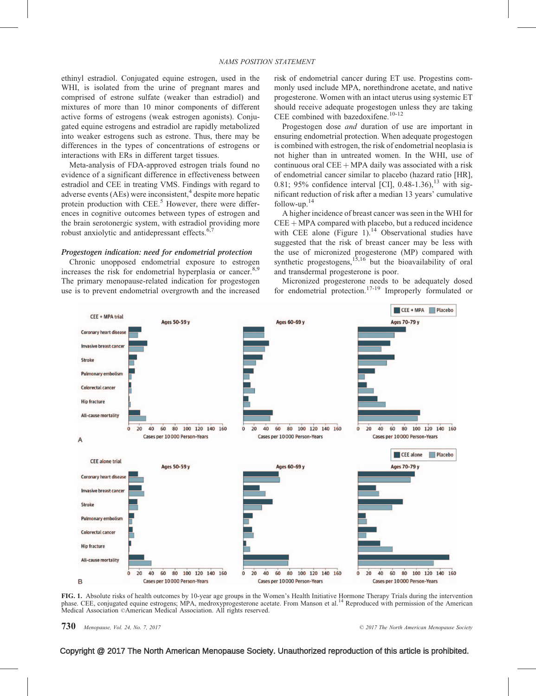ethinyl estradiol. Conjugated equine estrogen, used in the WHI, is isolated from the urine of pregnant mares and comprised of estrone sulfate (weaker than estradiol) and mixtures of more than 10 minor components of different active forms of estrogens (weak estrogen agonists). Conjugated equine estrogens and estradiol are rapidly metabolized into weaker estrogens such as estrone. Thus, there may be differences in the types of concentrations of estrogens or interactions with ERs in different target tissues.

Meta-analysis of FDA-approved estrogen trials found no evidence of a significant difference in effectiveness between estradiol and CEE in treating VMS. Findings with regard to adverse events (AEs) were inconsistent,<sup>[4](#page-19-0)</sup> despite more hepatic protein production with  $\text{CEE}$ <sup>[5](#page-19-0)</sup> However, there were differences in cognitive outcomes between types of estrogen and the brain serotonergic system, with estradiol providing more robust anxiolytic and antidepressant effects.<sup>[6,7](#page-19-0)</sup>

#### Progestogen indication: need for endometrial protection

Chronic unopposed endometrial exposure to estrogen increases the risk for endometrial hyperplasia or cancer. $8,9$ The primary menopause-related indication for progestogen use is to prevent endometrial overgrowth and the increased risk of endometrial cancer during ET use. Progestins commonly used include MPA, norethindrone acetate, and native progesterone. Women with an intact uterus using systemic ET should receive adequate progestogen unless they are taking CEE combined with bazedoxifene.<sup>[10-12](#page-19-0)</sup>

Progestogen dose and duration of use are important in ensuring endometrial protection. When adequate progestogen is combined with estrogen, the risk of endometrial neoplasia is not higher than in untreated women. In the WHI, use of continuous oral  $CEE + MPA$  daily was associated with a risk of endometrial cancer similar to placebo (hazard ratio [HR], 0.81; 95% confidence interval [CI], 0.48-1.36),<sup>[13](#page-19-0)</sup> with significant reduction of risk after a median 13 years' cumulative follow-up. $14$ 

A higher incidence of breast cancer was seen in the WHI for  $CEE + MPA$  compared with placebo, but a reduced incidence with CEE alone (Figure 1).<sup>[14](#page-19-0)</sup> Observational studies have suggested that the risk of breast cancer may be less with the use of micronized progesterone (MP) compared with synthetic progestogens,  $15,16$  but the bioavailability of oral and transdermal progesterone is poor.

Micronized progesterone needs to be adequately dosed for endometrial protection.<sup>17-19</sup> Improperly formulated or



FIG. 1. Absolute risks of health outcomes by 10-year age groups in the Women's Health Initiative Hormone Therapy Trials during the intervention phase. CEE, conjugated equine estrogens; MPA, medroxyprogesterone acetate. Fro Medical Association ©American Medical Association. All rights reserved.

2017 The North American Menopause Society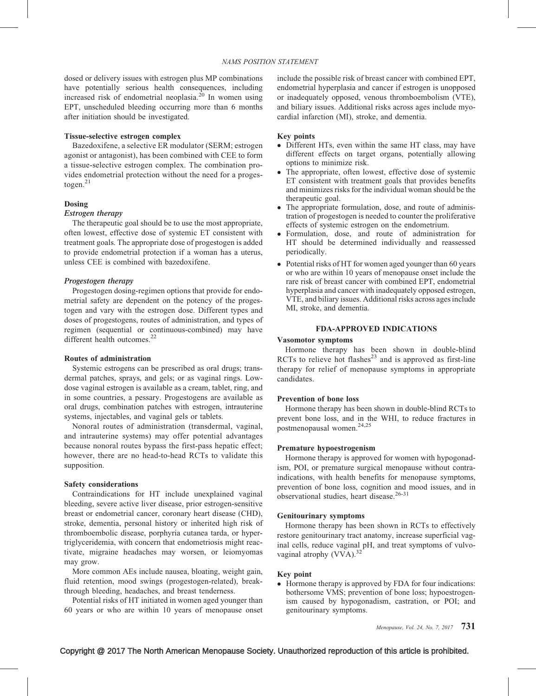dosed or delivery issues with estrogen plus MP combinations have potentially serious health consequences, including increased risk of endometrial neoplasia.<sup>[20](#page-19-0)</sup> In women using EPT, unscheduled bleeding occurring more than 6 months after initiation should be investigated.

#### Tissue-selective estrogen complex

Bazedoxifene, a selective ER modulator (SERM; estrogen agonist or antagonist), has been combined with CEE to form a tissue-selective estrogen complex. The combination provides endometrial protection without the need for a proges-togen.<sup>[21](#page-19-0)</sup>

#### Dosing

#### Estrogen therapy

The therapeutic goal should be to use the most appropriate, often lowest, effective dose of systemic ET consistent with treatment goals. The appropriate dose of progestogen is added to provide endometrial protection if a woman has a uterus, unless CEE is combined with bazedoxifene.

# Progestogen therapy

Progestogen dosing-regimen options that provide for endometrial safety are dependent on the potency of the progestogen and vary with the estrogen dose. Different types and doses of progestogens, routes of administration, and types of regimen (sequential or continuous-combined) may have different health outcomes.<sup>[22](#page-19-0)</sup>

#### Routes of administration

Systemic estrogens can be prescribed as oral drugs; transdermal patches, sprays, and gels; or as vaginal rings. Lowdose vaginal estrogen is available as a cream, tablet, ring, and in some countries, a pessary. Progestogens are available as oral drugs, combination patches with estrogen, intrauterine systems, injectables, and vaginal gels or tablets.

Nonoral routes of administration (transdermal, vaginal, and intrauterine systems) may offer potential advantages because nonoral routes bypass the first-pass hepatic effect; however, there are no head-to-head RCTs to validate this supposition.

# Safety considerations

Contraindications for HT include unexplained vaginal bleeding, severe active liver disease, prior estrogen-sensitive breast or endometrial cancer, coronary heart disease (CHD), stroke, dementia, personal history or inherited high risk of thromboembolic disease, porphyria cutanea tarda, or hypertriglyceridemia, with concern that endometriosis might reactivate, migraine headaches may worsen, or leiomyomas may grow.

More common AEs include nausea, bloating, weight gain, fluid retention, mood swings (progestogen-related), breakthrough bleeding, headaches, and breast tenderness.

Potential risks of HT initiated in women aged younger than 60 years or who are within 10 years of menopause onset

include the possible risk of breast cancer with combined EPT, endometrial hyperplasia and cancer if estrogen is unopposed or inadequately opposed, venous thromboembolism (VTE), and biliary issues. Additional risks across ages include myocardial infarction (MI), stroke, and dementia.

# Key points

- Different HTs, even within the same HT class, may have different effects on target organs, potentially allowing options to minimize risk.
- $\bullet$  The appropriate, often lowest, effective dose of systemic ET consistent with treatment goals that provides benefits and minimizes risks for the individual woman should be the therapeutic goal.
- The appropriate formulation, dose, and route of administration of progestogen is needed to counter the proliferative effects of systemic estrogen on the endometrium.
- Formulation, dose, and route of administration for HT should be determined individually and reassessed periodically.
- Potential risks of HT for women aged younger than 60 years or who are within 10 years of menopause onset include the rare risk of breast cancer with combined EPT, endometrial hyperplasia and cancer with inadequately opposed estrogen, VTE, and biliary issues. Additional risks across ages include MI, stroke, and dementia.

# FDA-APPROVED INDICATIONS

#### Vasomotor symptoms

Hormone therapy has been shown in double-blind RCTs to relieve hot flashes<sup>[23](#page-19-0)</sup> and is approved as first-line therapy for relief of menopause symptoms in appropriate candidates.

# Prevention of bone loss

Hormone therapy has been shown in double-blind RCTs to prevent bone loss, and in the WHI, to reduce fractures in postmenopausal women.[24,25](#page-19-0)

# Premature hypoestrogenism

Hormone therapy is approved for women with hypogonadism, POI, or premature surgical menopause without contraindications, with health benefits for menopause symptoms, prevention of bone loss, cognition and mood issues, and in observational studies, heart disease.<sup>[26-31](#page-19-0)</sup>

# Genitourinary symptoms

Hormone therapy has been shown in RCTs to effectively restore genitourinary tract anatomy, increase superficial vaginal cells, reduce vaginal pH, and treat symptoms of vulvovaginal atrophy (VVA).<sup>32</sup>

# Key point

 $\bullet$  Hormone therapy is approved by FDA for four indications: bothersome VMS; prevention of bone loss; hypoestrogenism caused by hypogonadism, castration, or POI; and genitourinary symptoms.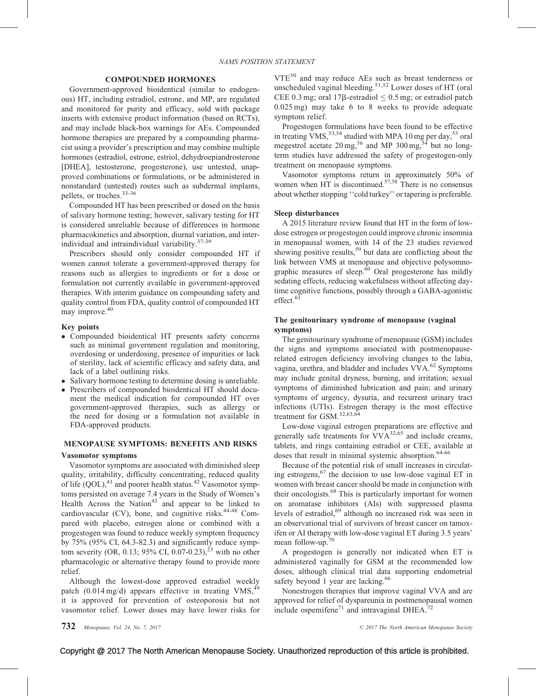#### COMPOUNDED HORMONES

Government-approved bioidentical (similar to endogenous) HT, including estradiol, estrone, and MP, are regulated and monitored for purity and efficacy, sold with package inserts with extensive product information (based on RCTs), and may include black-box warnings for AEs. Compounded hormone therapies are prepared by a compounding pharmacist using a provider's prescription and may combine multiple hormones (estradiol, estrone, estriol, dehydroepiandrosterone [DHEA], testosterone, progesterone), use untested, unapproved combinations or formulations, or be administered in nonstandard (untested) routes such as subdermal implants, pellets, or troches.[33-36](#page-20-0)

Compounded HT has been prescribed or dosed on the basis of salivary hormone testing; however, salivary testing for HT is considered unreliable because of differences in hormone pharmacokinetics and absorption, diurnal variation, and interindividual and intraindividual variability.[37-39](#page-20-0)

Prescribers should only consider compounded HT if women cannot tolerate a government-approved therapy for reasons such as allergies to ingredients or for a dose or formulation not currently available in government-approved therapies. With interim guidance on compounding safety and quality control from FDA, quality control of compounded HT may improve.<sup>[40](#page-20-0)</sup>

#### Key points

- Compounded bioidentical HT presents safety concerns such as minimal government regulation and monitoring, overdosing or underdosing, presence of impurities or lack of sterility, lack of scientific efficacy and safety data, and lack of a label outlining risks.
- Salivary hormone testing to determine dosing is unreliable.
- $\bullet$  Prescribers of compounded bioidentical HT should document the medical indication for compounded HT over government-approved therapies, such as allergy or the need for dosing or a formulation not available in FDA-approved products.

# MENOPAUSE SYMPTOMS: BENEFITS AND RISKS

#### Vasomotor symptoms

Vasomotor symptoms are associated with diminished sleep quality, irritability, difficulty concentrating, reduced quality of life  $(QOL)$ ,<sup>[41](#page-20-0)</sup> and poorer health status.<sup>[42](#page-20-0)</sup> Vasomotor symptoms persisted on average 7.4 years in the Study of Women's Health Across the Nation $43 \text{ and } 43$  $43 \text{ and } 43$  and appear to be linked to cardiovascular  $(CV)$ , bone, and cognitive risks.<sup>[44-48](#page-20-0)</sup> Compared with placebo, estrogen alone or combined with a progestogen was found to reduce weekly symptom frequency by 75% (95% CI, 64.3-82.3) and significantly reduce symp-tom severity (OR, 0.13; 95% CI, 0.07-0.[23](#page-19-0)),<sup>23</sup> with no other pharmacologic or alternative therapy found to provide more relief.

Although the lowest-dose approved estradiol weekly patch  $(0.014 \text{ mg/d})$  appears effective in treating VMS,<sup>[49](#page-20-0)</sup> it is approved for prevention of osteoporosis but not vasomotor relief. Lower doses may have lower risks for VTE[50](#page-20-0) and may reduce AEs such as breast tenderness or unscheduled vaginal bleeding.<sup>[51,52](#page-20-0)</sup> Lower doses of HT (oral CEE 0.3 mg; oral 17 $\beta$ -estradiol  $\leq 0.5$  mg; or estradiol patch 0.025 mg) may take 6 to 8 weeks to provide adequate symptom relief.

Progestogen formulations have been found to be effective in treating  $VMS$ ,<sup>[53,54](#page-20-0)</sup> studied with MPA 10 mg per day,<sup>[55](#page-20-0)</sup> oral megestrol acetate  $20 \text{ mg}$ ,<sup>[56](#page-20-0)</sup> and MP 300 mg,  $\frac{34}{3}$  but no longterm studies have addressed the safety of progestogen-only treatment on menopause symptoms.

Vasomotor symptoms return in approximately 50% of women when HT is discontinued.<sup>[57,58](#page-20-0)</sup> There is no consensus about whether stopping ''cold turkey'' or tapering is preferable.

#### Sleep disturbances

A 2015 literature review found that HT in the form of lowdose estrogen or progestogen could improve chronic insomnia in menopausal women, with 14 of the 23 studies reviewed showing positive results,<sup>[59](#page-20-0)</sup> but data are conflicting about the link between VMS at menopause and objective polysomnographic measures of sleep. $\frac{60}{100}$  $\frac{60}{100}$  $\frac{60}{100}$  Oral progesterone has mildly sedating effects, reducing wakefulness without affecting daytime cognitive functions, possibly through a GABA-agonistic  $effect.<sup>61</sup>$  $effect.<sup>61</sup>$  $effect.<sup>61</sup>$ 

# The genitourinary syndrome of menopause (vaginal symptoms)

The genitourinary syndrome of menopause (GSM) includes the signs and symptoms associated with postmenopauserelated estrogen deficiency involving changes to the labia, vagina, urethra, and bladder and includes VVA.[62](#page-20-0) Symptoms may include genital dryness, burning, and irritation; sexual symptoms of diminished lubrication and pain; and urinary symptoms of urgency, dysuria, and recurrent urinary tract infections (UTIs). Estrogen therapy is the most effective treatment for GSM.<sup>[32,63,64](#page-20-0)</sup>

Low-dose vaginal estrogen preparations are effective and generally safe treatments for  $VVA^{32,65}$  $VVA^{32,65}$  $VVA^{32,65}$  and include creams, tablets, and rings containing estradiol or CEE, available at doses that result in minimal systemic absorption.<sup>[64-66](#page-20-0)</sup>

Because of the potential risk of small increases in circulating estrogens,  $67$  the decision to use low-dose vaginal ET in women with breast cancer should be made in conjunction with their oncologists.[68](#page-20-0) This is particularly important for women on aromatase inhibitors (AIs) with suppressed plasma levels of estradiol,<sup>[69](#page-20-0)</sup> although no increased risk was seen in an observational trial of survivors of breast cancer on tamoxifen or AI therapy with low-dose vaginal ET during 3.5 years' mean follow-up.<sup>[70](#page-20-0)</sup>

A progestogen is generally not indicated when ET is administered vaginally for GSM at the recommended low doses, although clinical trial data supporting endometrial safety beyond 1 year are lacking.<sup>[66](#page-20-0)</sup>

Nonestrogen therapies that improve vaginal VVA and are approved for relief of dyspareunia in postmenopausal women include ospemifene<sup>[71](#page-20-0)</sup> and intravaginal DHEA.<sup>[72](#page-20-0)</sup>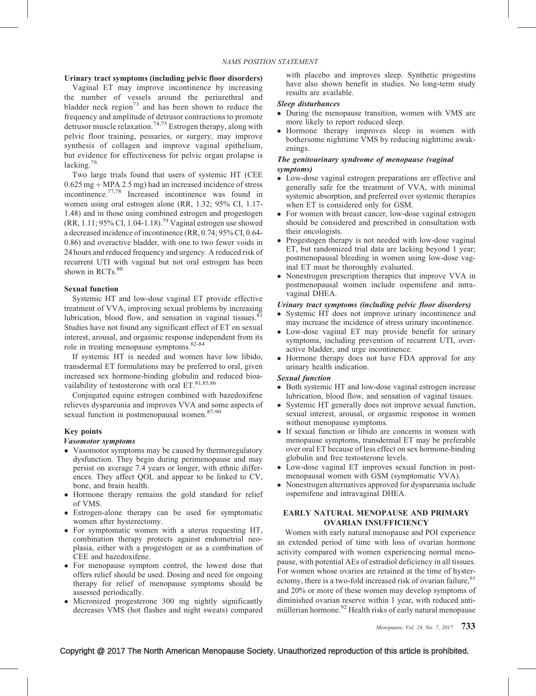#### Urinary tract symptoms (including pelvic floor disorders)

Vaginal ET may improve incontinence by increasing the number of vessels around the periurethral and bladder neck region<sup>[73](#page-20-0)</sup> and has been shown to reduce the frequency and amplitude of detrusor contractions to promote detrusor muscle relaxation.<sup>[74,75](#page-21-0)</sup> Estrogen therapy, along with pelvic floor training, pessaries, or surgery, may improve synthesis of collagen and improve vaginal epithelium, but evidence for effectiveness for pelvic organ prolapse is lacking.<sup>[76](#page-21-0)</sup>

Two large trials found that users of systemic HT (CEE  $0.625$  mg + MPA 2.5 mg) had an increased incidence of stress incontinence.[77,78](#page-21-0) Increased incontinence was found in women using oral estrogen alone (RR, 1.32; 95% CI, 1.17- 1.48) and in those using combined estrogen and progestogen (RR, 1.11; 95% CI, 1.04-1.18).<sup>79</sup> Vaginal estrogen use showed a decreased incidence of incontinence (RR, 0.74; 95% CI, 0.64- 0.86) and overactive bladder, with one to two fewer voids in 24 hours and reduced frequency and urgency. A reduced risk of recurrent UTI with vaginal but not oral estrogen has been shown in RCTs.<sup>[80](#page-21-0)</sup>

# Sexual function

Systemic HT and low-dose vaginal ET provide effective treatment of VVA, improving sexual problems by increasing lubrication, blood flow, and sensation in vaginal tissues. $81$ Studies have not found any significant effect of ET on sexual interest, arousal, and orgasmic response independent from its role in treating menopause symptoms.<sup>[82-84](#page-21-0)</sup>

If systemic HT is needed and women have low libido, transdermal ET formulations may be preferred to oral, given increased sex hormone-binding globulin and reduced bioa-vailability of testosterone with oral ET.<sup>[81,85,86](#page-21-0)</sup>

Conjugated equine estrogen combined with bazedoxifene relieves dyspareunia and improves VVA and some aspects of sexual function in postmenopausal women. $87-90$ 

# Key points

#### Vasomotor symptoms

- Vasomotor symptoms may be caused by thermoregulatory dysfunction. They begin during perimenopause and may persist on average 7.4 years or longer, with ethnic differences. They affect QOL and appear to be linked to CV, bone, and brain health.
- Hormone therapy remains the gold standard for relief of VMS.
- Estrogen-alone therapy can be used for symptomatic women after hysterectomy.
- For symptomatic women with a uterus requesting HT, combination therapy protects against endometrial neoplasia, either with a progestogen or as a combination of CEE and bazedoxifene.
- For menopause symptom control, the lowest dose that offers relief should be used. Dosing and need for ongoing therapy for relief of menopause symptoms should be assessed periodically.
- Micronized progesterone 300 mg nightly significantly decreases VMS (hot flashes and night sweats) compared

with placebo and improves sleep. Synthetic progestins have also shown benefit in studies. No long-term study results are available.

### Sleep disturbances

- During the menopause transition, women with VMS are more likely to report reduced sleep.
- $\bullet$  Hormone therapy improves sleep in women with bothersome nighttime VMS by reducing nighttime awakenings.

# The genitourinary syndrome of menopause (vaginal symptoms)

- Low-dose vaginal estrogen preparations are effective and generally safe for the treatment of VVA, with minimal systemic absorption, and preferred over systemic therapies when ET is considered only for GSM.
- $\bullet$  For women with breast cancer, low-dose vaginal estrogen should be considered and prescribed in consultation with their oncologists.
- Progestogen therapy is not needed with low-dose vaginal ET, but randomized trial data are lacking beyond 1 year; postmenopausal bleeding in women using low-dose vaginal ET must be thoroughly evaluated.
- Nonestrogen prescription therapies that improve VVA in postmenopausal women include ospemifene and intravaginal DHEA.

# Urinary tract symptoms (including pelvic floor disorders)

- $\bullet$  Systemic HT does not improve urinary incontinence and may increase the incidence of stress urinary incontinence.
- $\bullet$  Low-dose vaginal ET may provide benefit for urinary symptoms, including prevention of recurrent UTI, overactive bladder, and urge incontinence.
- $\bullet$  Hormone therapy does not have FDA approval for any urinary health indication.

# Sexual function

- $\bullet$  Both systemic HT and low-dose vaginal estrogen increase lubrication, blood flow, and sensation of vaginal tissues.
- $\bullet$  Systemic HT generally does not improve sexual function, sexual interest, arousal, or orgasmic response in women without menopause symptoms.
- If sexual function or libido are concerns in women with menopause symptoms, transdermal ET may be preferable over oral ET because of less effect on sex hormone-binding globulin and free testosterone levels.
- $\bullet$  Low-dose vaginal ET improves sexual function in postmenopausal women with GSM (symptomatic VVA).
- $\bullet$  Nonestrogen alternatives approved for dyspareunia include ospemifene and intravaginal DHEA.

# EARLY NATURAL MENOPAUSE AND PRIMARY OVARIAN INSUFFICIENCY

Women with early natural menopause and POI experience an extended period of time with loss of ovarian hormone activity compared with women experiencing normal menopause, with potential AEs of estradiol deficiency in all tissues. For women whose ovaries are retained at the time of hyster-ectomy, there is a two-fold increased risk of ovarian failure, <sup>[91](#page-21-0)</sup> and 20% or more of these women may develop symptoms of diminished ovarian reserve within 1 year, with reduced anti-müllerian hormone.<sup>[92](#page-21-0)</sup> Health risks of early natural menopause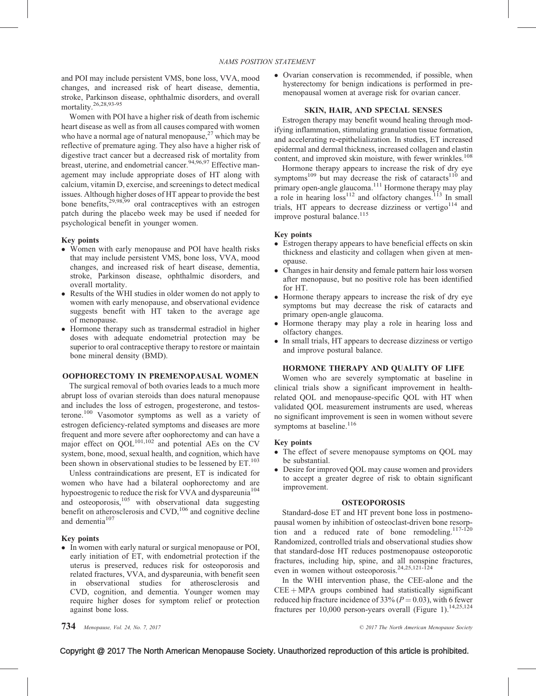and POI may include persistent VMS, bone loss, VVA, mood changes, and increased risk of heart disease, dementia, stroke, Parkinson disease, ophthalmic disorders, and overall mortality.<sup>[26,28,93-95](#page-19-0)</sup>

Women with POI have a higher risk of death from ischemic heart disease as well as from all causes compared with women who have a normal age of natural menopause, $2^7$  which may be reflective of premature aging. They also have a higher risk of digestive tract cancer but a decreased risk of mortality from breast, uterine, and endometrial cancer.<sup>[94,96,97](#page-21-0)</sup> Effective management may include appropriate doses of HT along with calcium, vitamin D, exercise, and screenings to detect medical issues. Although higher doses of HT appear to provide the best bone benefits,<sup>[29,98,99](#page-19-0)</sup> oral contraceptives with an estrogen patch during the placebo week may be used if needed for psychological benefit in younger women.

# Key points

- Women with early menopause and POI have health risks that may include persistent VMS, bone loss, VVA, mood changes, and increased risk of heart disease, dementia, stroke, Parkinson disease, ophthalmic disorders, and overall mortality.
- Results of the WHI studies in older women do not apply to women with early menopause, and observational evidence suggests benefit with HT taken to the average age of menopause.
- Hormone therapy such as transdermal estradiol in higher doses with adequate endometrial protection may be superior to oral contraceptive therapy to restore or maintain bone mineral density (BMD).

#### OOPHORECTOMY IN PREMENOPAUSAL WOMEN

The surgical removal of both ovaries leads to a much more abrupt loss of ovarian steroids than does natural menopause and includes the loss of estrogen, progesterone, and testosterone.[100](#page-21-0) Vasomotor symptoms as well as a variety of estrogen deficiency-related symptoms and diseases are more frequent and more severe after oophorectomy and can have a major effect on  $QOL<sup>101,102</sup>$  $QOL<sup>101,102</sup>$  $QOL<sup>101,102</sup>$  and potential AEs on the CV system, bone, mood, sexual health, and cognition, which have been shown in observational studies to be lessened by ET.<sup>[103](#page-21-0)</sup>

Unless contraindications are present, ET is indicated for women who have had a bilateral oophorectomy and are hypoestrogenic to reduce the risk for VVA and dyspareunia<sup>[104](#page-21-0)</sup> and osteoporosis, $105$  with observational data suggesting benefit on atherosclerosis and  $CVD$ ,<sup>[106](#page-21-0)</sup> and cognitive decline and dementia<sup>[107](#page-21-0)</sup>

#### Key points

- In women with early natural or surgical menopause or POI, early initiation of ET, with endometrial protection if the uterus is preserved, reduces risk for osteoporosis and related fractures, VVA, and dyspareunia, with benefit seen in observational studies for atherosclerosis and CVD, cognition, and dementia. Younger women may require higher doses for symptom relief or protection against bone loss.

- Ovarian conservation is recommended, if possible, when hysterectomy for benign indications is performed in premenopausal women at average risk for ovarian cancer.

#### SKIN, HAIR, AND SPECIAL SENSES

Estrogen therapy may benefit wound healing through modifying inflammation, stimulating granulation tissue formation, and accelerating re-epithelialization. In studies, ET increased epidermal and dermal thickness, increased collagen and elastin content, and improved skin moisture, with fewer wrinkles.<sup>108</sup>

Hormone therapy appears to increase the risk of dry eye symptoms<sup>109</sup> but may decrease the risk of cataracts<sup>[110](#page-21-0)</sup> and primary open-angle glaucoma.<sup>[111](#page-21-0)</sup> Hormone therapy may play a role in hearing  $loss<sup>112</sup>$  $loss<sup>112</sup>$  $loss<sup>112</sup>$  and olfactory changes.<sup>[113](#page-21-0)</sup> In small trials, HT appears to decrease dizziness or vertigo $114$  and improve postural balance.<sup>[115](#page-21-0)</sup>

#### Key points

- Estrogen therapy appears to have beneficial effects on skin thickness and elasticity and collagen when given at menopause.
- $\bullet$  Changes in hair density and female pattern hair loss worsen after menopause, but no positive role has been identified for HT.
- Hormone therapy appears to increase the risk of dry eye symptoms but may decrease the risk of cataracts and primary open-angle glaucoma.
- Hormone therapy may play a role in hearing loss and olfactory changes.
- $\bullet$  In small trials, HT appears to decrease dizziness or vertigo and improve postural balance.

#### HORMONE THERAPY AND QUALITY OF LIFE

Women who are severely symptomatic at baseline in clinical trials show a significant improvement in healthrelated QOL and menopause-specific QOL with HT when validated QOL measurement instruments are used, whereas no significant improvement is seen in women without severe symptoms at baseline.<sup>[116](#page-21-0)</sup>

#### Key points

- The effect of severe menopause symptoms on QOL may be substantial.
- $\bullet$  Desire for improved QOL may cause women and providers to accept a greater degree of risk to obtain significant improvement.

#### OSTEOPOROSIS

Standard-dose ET and HT prevent bone loss in postmenopausal women by inhibition of osteoclast-driven bone resorp-tion and a reduced rate of bone remodeling.<sup>[117-120](#page-21-0)</sup> Randomized, controlled trials and observational studies show that standard-dose HT reduces postmenopause osteoporotic fractures, including hip, spine, and all nonspine fractures, even in women without osteoporosis.<sup>[24,25,121-124](#page-19-0)</sup>

In the WHI intervention phase, the CEE-alone and the  $CEE + MPA$  groups combined had statistically significant reduced hip fracture incidence of 33% ( $P = 0.03$ ), with 6 fewer fractures per 10,000 person-years overall (Figure 1).<sup>14,25,124</sup>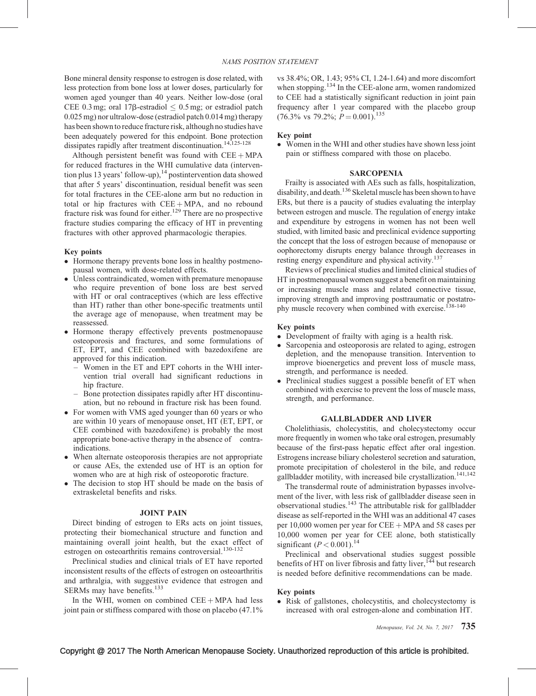Bone mineral density response to estrogen is dose related, with less protection from bone loss at lower doses, particularly for women aged younger than 40 years. Neither low-dose (oral CEE 0.3 mg; oral 17 $\beta$ -estradiol  $\leq 0.5$  mg; or estradiol patch 0.025 mg) nor ultralow-dose (estradiol patch 0.014 mg) therapy has been shown to reduce fracture risk, although no studies have been adequately powered for this endpoint. Bone protection dissipates rapidly after treatment discontinuation.<sup>14,125-128</sup>

Although persistent benefit was found with  $\text{CEE} + \text{MPA}$ for reduced fractures in the WHI cumulative data (intervention plus 13 years' follow-up),  $14$  postintervention data showed that after 5 years' discontinuation, residual benefit was seen for total fractures in the CEE-alone arm but no reduction in total or hip fractures with  $\text{CEE} + \text{MPA}$ , and no rebound fracture risk was found for either.<sup>[129](#page-22-0)</sup> There are no prospective fracture studies comparing the efficacy of HT in preventing fractures with other approved pharmacologic therapies.

#### Key points

- Hormone therapy prevents bone loss in healthy postmenopausal women, with dose-related effects.
- Unless contraindicated, women with premature menopause who require prevention of bone loss are best served with HT or oral contraceptives (which are less effective than HT) rather than other bone-specific treatments until the average age of menopause, when treatment may be reassessed.
- Hormone therapy effectively prevents postmenopause osteoporosis and fractures, and some formulations of ET, EPT, and CEE combined with bazedoxifene are approved for this indication.
	- Women in the ET and EPT cohorts in the WHI intervention trial overall had significant reductions in hip fracture.
	- Bone protection dissipates rapidly after HT discontinuation, but no rebound in fracture risk has been found.
- For women with VMS aged younger than 60 years or who are within 10 years of menopause onset, HT (ET, EPT, or CEE combined with bazedoxifene) is probably the most appropriate bone-active therapy in the absence of contraindications.
- When alternate osteoporosis therapies are not appropriate or cause AEs, the extended use of HT is an option for women who are at high risk of osteoporotic fracture.
- $\bullet$  The decision to stop HT should be made on the basis of extraskeletal benefits and risks.

#### JOINT PAIN

Direct binding of estrogen to ERs acts on joint tissues, protecting their biomechanical structure and function and maintaining overall joint health, but the exact effect of estrogen on osteoarthritis remains controversial.<sup>[130-132](#page-22-0)</sup>

Preclinical studies and clinical trials of ET have reported inconsistent results of the effects of estrogen on osteoarthritis and arthralgia, with suggestive evidence that estrogen and SERMs may have benefits.<sup>[133](#page-22-0)</sup>

In the WHI, women on combined  $\text{CEE} + \text{MPA}$  had less joint pain or stiffness compared with those on placebo (47.1%

vs 38.4%; OR, 1.43; 95% CI, 1.24-1.64) and more discomfort when stopping.<sup>[134](#page-22-0)</sup> In the CEE-alone arm, women randomized to CEE had a statistically significant reduction in joint pain frequency after 1 year compared with the placebo group  $(76.3\% \text{ vs } 79.2\%; P=0.001).$ <sup>[135](#page-22-0)</sup>

#### Key point

- Women in the WHI and other studies have shown less joint pain or stiffness compared with those on placebo.

#### **SARCOPENIA**

Frailty is associated with AEs such as falls, hospitalization, disability, and death.<sup>136</sup> Skeletal muscle has been shown to have ERs, but there is a paucity of studies evaluating the interplay between estrogen and muscle. The regulation of energy intake and expenditure by estrogens in women has not been well studied, with limited basic and preclinical evidence supporting the concept that the loss of estrogen because of menopause or oophorectomy disrupts energy balance through decreases in resting energy expenditure and physical activity.<sup>137</sup>

Reviews of preclinical studies and limited clinical studies of HT in postmenopausal women suggest a benefit on maintaining or increasing muscle mass and related connective tissue, improving strength and improving posttraumatic or postatrophy muscle recovery when combined with exercise.<sup>138-140</sup>

# Key points

- Development of frailty with aging is a health risk.
- $\bullet$  Sarcopenia and osteoporosis are related to aging, estrogen depletion, and the menopause transition. Intervention to improve bioenergetics and prevent loss of muscle mass, strength, and performance is needed.
- Preclinical studies suggest a possible benefit of ET when combined with exercise to prevent the loss of muscle mass, strength, and performance.

#### GALLBLADDER AND LIVER

Cholelithiasis, cholecystitis, and cholecystectomy occur more frequently in women who take oral estrogen, presumably because of the first-pass hepatic effect after oral ingestion. Estrogens increase biliary cholesterol secretion and saturation, promote precipitation of cholesterol in the bile, and reduce gallbladder motility, with increased bile crystallization.<sup>141,142</sup>

The transdermal route of administration bypasses involvement of the liver, with less risk of gallbladder disease seen in observational studies.[143](#page-22-0) The attributable risk for gallbladder disease as self-reported in the WHI was an additional 47 cases per  $10,000$  women per year for CEE  $+$  MPA and 58 cases per 10,000 women per year for CEE alone, both statistically significant  $(P < 0.001)$ .<sup>[14](#page-19-0)</sup>

Preclinical and observational studies suggest possible benefits of HT on liver fibrosis and fatty liver,  $^{144}$  $^{144}$  $^{144}$  but research is needed before definitive recommendations can be made.

#### Key points

- Risk of gallstones, cholecystitis, and cholecystectomy is increased with oral estrogen-alone and combination HT.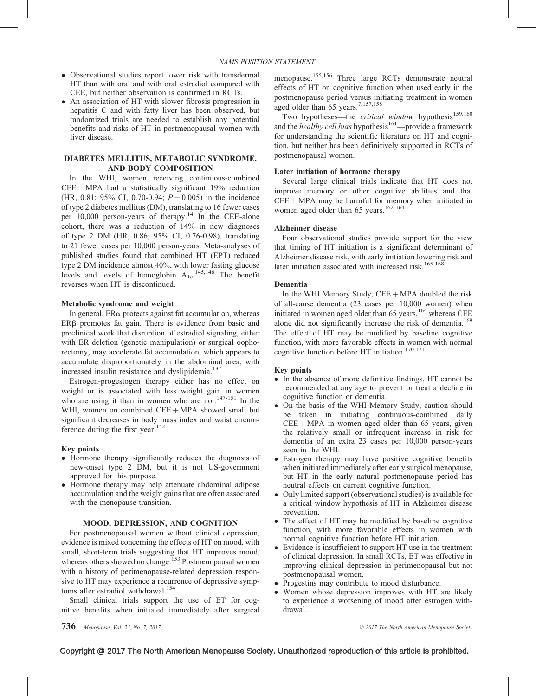- Observational studies report lower risk with transdermal HT than with oral and with oral estradiol compared with CEE, but neither observation is confirmed in RCTs.
- An association of HT with slower fibrosis progression in hepatitis C and with fatty liver has been observed, but randomized trials are needed to establish any potential benefits and risks of HT in postmenopausal women with liver disease.

# DIABETES MELLITUS, METABOLIC SYNDROME, AND BODY COMPOSITION

In the WHI, women receiving continuous-combined  $CEE + MPA$  had a statistically significant 19% reduction (HR, 0.81; 95% CI, 0.70-0.94;  $P = 0.005$ ) in the incidence of type 2 diabetes mellitus (DM), translating to 16 fewer cases per 10,000 person-years of therapy.<sup>[14](#page-19-0)</sup> In the CEE-alone cohort, there was a reduction of 14% in new diagnoses of type 2 DM (HR, 0.86; 95% CI, 0.76-0.98), translating to 21 fewer cases per 10,000 person-years. Meta-analyses of published studies found that combined HT (EPT) reduced type 2 DM incidence almost 40%, with lower fasting glucose levels and levels of hemoglobin  $A_{1c}$ ,  $^{145,146}$  $^{145,146}$  $^{145,146}$  The benefit reverses when HT is discontinued.

# Metabolic syndrome and weight

In general,  $ER\alpha$  protects against fat accumulation, whereas  $ER\beta$  promotes fat gain. There is evidence from basic and preclinical work that disruption of estradiol signaling, either with ER deletion (genetic manipulation) or surgical oophorectomy, may accelerate fat accumulation, which appears to accumulate disproportionately in the abdominal area, with increased insulin resistance and dyslipidemia.<sup>[137](#page-22-0)</sup>

Estrogen-progestogen therapy either has no effect on weight or is associated with less weight gain in women who are using it than in women who are not.<sup>[147-151](#page-22-0)</sup> In the WHI, women on combined  $\text{CEE} + \text{MPA}$  showed small but significant decreases in body mass index and waist circum-ference during the first year.<sup>[152](#page-22-0)</sup>

# Key points

- Hormone therapy significantly reduces the diagnosis of new-onset type 2 DM, but it is not US-government approved for this purpose.
- Hormone therapy may help attenuate abdominal adipose accumulation and the weight gains that are often associated with the menopause transition.

# MOOD, DEPRESSION, AND COGNITION

For postmenopausal women without clinical depression, evidence is mixed concerning the effects of HT on mood, with small, short-term trials suggesting that HT improves mood, whereas others showed no change.<sup>[153](#page-22-0)</sup> Postmenopausal women with a history of perimenopause-related depression responsive to HT may experience a recurrence of depressive symp-toms after estradiol withdrawal.<sup>[154](#page-22-0)</sup>

Small clinical trials support the use of ET for cognitive benefits when initiated immediately after surgical

menopause.<sup>[155,156](#page-22-0)</sup> Three large RCTs demonstrate neutral effects of HT on cognitive function when used early in the postmenopause period versus initiating treatment in women aged older than 65 years.<sup>[7,157,158](#page-19-0)</sup>

Two hypotheses—the *critical window* hypothesis<sup>[159,160](#page-22-0)</sup> and the *healthy cell bias* hypothesis<sup>[161](#page-22-0)</sup>—provide a framework for understanding the scientific literature on HT and cognition, but neither has been definitively supported in RCTs of postmenopausal women.

#### Later initiation of hormone therapy

Several large clinical trials indicate that HT does not improve memory or other cognitive abilities and that  $CEE + MPA$  may be harmful for memory when initiated in women aged older than 65 years.<sup>[162-164](#page-22-0)</sup>

#### Alzheimer disease

Four observational studies provide support for the view that timing of HT initiation is a significant determinant of Alzheimer disease risk, with early initiation lowering risk and later initiation associated with increased risk.<sup>[165-168](#page-22-0)</sup>

#### Dementia

In the WHI Memory Study,  $CEE + MPA$  doubled the risk of all-cause dementia (23 cases per 10,000 women) when initiated in women aged older than 65 years,  $164$  whereas CEE alone did not significantly increase the risk of dementia.<sup>[169](#page-23-0)</sup> The effect of HT may be modified by baseline cognitive function, with more favorable effects in women with normal cognitive function before HT initiation.<sup>[170,171](#page-23-0)</sup>

# Key points

- In the absence of more definitive findings, HT cannot be recommended at any age to prevent or treat a decline in cognitive function or dementia.
- On the basis of the WHI Memory Study, caution should be taken in initiating continuous-combined daily  $CEE + MPA$  in women aged older than 65 years, given the relatively small or infrequent increase in risk for dementia of an extra 23 cases per 10,000 person-years seen in the WHI.
- Estrogen therapy may have positive cognitive benefits when initiated immediately after early surgical menopause, but HT in the early natural postmenopause period has neutral effects on current cognitive function.
- $\bullet$  Only limited support (observational studies) is available for a critical window hypothesis of HT in Alzheimer disease prevention.
- $\bullet$  The effect of HT may be modified by baseline cognitive function, with more favorable effects in women with normal cognitive function before HT initiation.
- Evidence is insufficient to support HT use in the treatment of clinical depression. In small RCTs, ET was effective in improving clinical depression in perimenopausal but not postmenopausal women.
- Progestins may contribute to mood disturbance.
- $\bullet$  Women whose depression improves with HT are likely to experience a worsening of mood after estrogen withdrawal.

 $736$  Menopause, Vol. 24, No. 7, 2017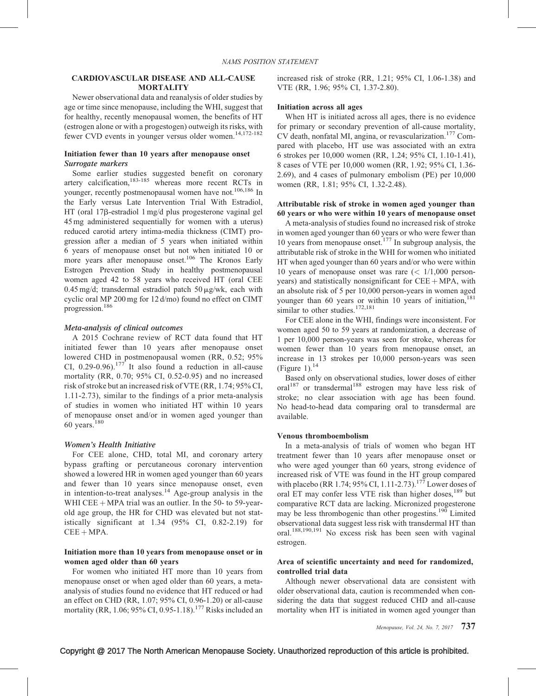# CARDIOVASCULAR DISEASE AND ALL-CAUSE **MORTALITY**

Newer observational data and reanalysis of older studies by age or time since menopause, including the WHI, suggest that for healthy, recently menopausal women, the benefits of HT (estrogen alone or with a progestogen) outweigh its risks, with fewer CVD events in younger versus older women.<sup>[14,172-182](#page-19-0)</sup>

# Initiation fewer than 10 years after menopause onset Surrogate markers

Some earlier studies suggested benefit on coronary artery calcification, $183-185$  whereas more recent RCTs in younger, recently postmenopausal women have not.<sup>[106,186](#page-21-0)</sup> In the Early versus Late Intervention Trial With Estradiol, HT (oral 17b-estradiol 1 mg/d plus progesterone vaginal gel 45 mg administered sequentially for women with a uterus) reduced carotid artery intima-media thickness (CIMT) progression after a median of 5 years when initiated within 6 years of menopause onset but not when initiated 10 or more years after menopause onset.<sup>[106](#page-21-0)</sup> The Kronos Early Estrogen Prevention Study in healthy postmenopausal women aged 42 to 58 years who received HT (oral CEE 0.45 mg/d; transdermal estradiol patch 50  $\mu$ g/wk, each with cyclic oral MP 200 mg for 12 d/mo) found no effect on CIMT progression[.186](#page-23-0)

#### Meta-analysis of clinical outcomes

A 2015 Cochrane review of RCT data found that HT initiated fewer than 10 years after menopause onset lowered CHD in postmenopausal women (RR, 0.52; 95% CI,  $0.29-0.96$ ).<sup>[177](#page-23-0)</sup> It also found a reduction in all-cause mortality (RR, 0.70; 95% CI, 0.52-0.95) and no increased risk of stroke but an increased risk of VTE (RR, 1.74; 95% CI, 1.11-2.73), similar to the findings of a prior meta-analysis of studies in women who initiated HT within 10 years of menopause onset and/or in women aged younger than 60 years.[180](#page-23-0)

#### Women's Health Initiative

For CEE alone, CHD, total MI, and coronary artery bypass grafting or percutaneous coronary intervention showed a lowered HR in women aged younger than 60 years and fewer than 10 years since menopause onset, even in intention-to-treat analyses.<sup>[14](#page-19-0)</sup> Age-group analysis in the WHI CEE  $+$  MPA trial was an outlier. In the 50- to 59-yearold age group, the HR for CHD was elevated but not statistically significant at 1.34 (95% CI, 0.82-2.19) for  $CEE + MPA.$ 

# Initiation more than 10 years from menopause onset or in women aged older than 60 years

For women who initiated HT more than 10 years from menopause onset or when aged older than 60 years, a metaanalysis of studies found no evidence that HT reduced or had an effect on CHD (RR, 1.07; 95% CI, 0.96-1.20) or all-cause mortality (RR, 1.06; 95% CI, 0.95-1.18).<sup>[177](#page-23-0)</sup> Risks included an increased risk of stroke (RR, 1.21; 95% CI, 1.06-1.38) and VTE (RR, 1.96; 95% CI, 1.37-2.80).

# Initiation across all ages

When HT is initiated across all ages, there is no evidence for primary or secondary prevention of all-cause mortality, CV death, nonfatal MI, angina, or revascularization.<sup>[177](#page-23-0)</sup> Compared with placebo, HT use was associated with an extra 6 strokes per 10,000 women (RR, 1.24; 95% CI, 1.10-1.41), 8 cases of VTE per 10,000 women (RR, 1.92; 95% CI, 1.36- 2.69), and 4 cases of pulmonary embolism (PE) per 10,000 women (RR, 1.81; 95% CI, 1.32-2.48).

# Attributable risk of stroke in women aged younger than 60 years or who were within 10 years of menopause onset

A meta-analysis of studies found no increased risk of stroke in women aged younger than 60 years or who were fewer than 10 years from menopause onset.<sup>[177](#page-23-0)</sup> In subgroup analysis, the attributable risk of stroke in the WHI for women who initiated HT when aged younger than 60 years and/or who were within 10 years of menopause onset was rare  $\ll 1/1,000$  personyears) and statistically nonsignificant for  $\text{CEE} + \text{MPA}$ , with an absolute risk of 5 per 10,000 person-years in women aged younger than 60 years or within 10 years of initiation, $181$ similar to other studies.<sup>[172,181](#page-23-0)</sup>

For CEE alone in the WHI, findings were inconsistent. For women aged 50 to 59 years at randomization, a decrease of 1 per 10,000 person-years was seen for stroke, whereas for women fewer than 10 years from menopause onset, an increase in 13 strokes per 10,000 person-years was seen (Figure 1). $^{14}$  $^{14}$  $^{14}$ 

Based only on observational studies, lower doses of either oral<sup>[187](#page-23-0)</sup> or transdermal<sup>[188](#page-23-0)</sup> estrogen may have less risk of stroke; no clear association with age has been found. No head-to-head data comparing oral to transdermal are available.

# Venous thromboembolism

In a meta-analysis of trials of women who began HT treatment fewer than 10 years after menopause onset or who were aged younger than 60 years, strong evidence of increased risk of VTE was found in the HT group compared with placebo (RR 1.74; 95% CI, 1.11-2.73).<sup>[177](#page-23-0)</sup> Lower doses of oral ET may confer less VTE risk than higher doses,<sup>[189](#page-23-0)</sup> but comparative RCT data are lacking. Micronized progesterone may be less thrombogenic than other progestins.<sup>[190](#page-23-0)</sup> Limited observational data suggest less risk with transdermal HT than oral.[188,190,191](#page-23-0) No excess risk has been seen with vaginal estrogen.

# Area of scientific uncertainty and need for randomized, controlled trial data

Although newer observational data are consistent with older observational data, caution is recommended when considering the data that suggest reduced CHD and all-cause mortality when HT is initiated in women aged younger than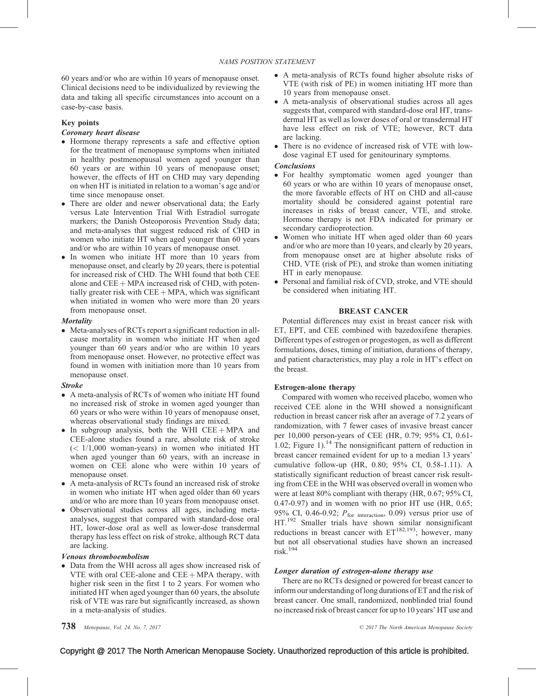60 years and/or who are within 10 years of menopause onset. Clinical decisions need to be individualized by reviewing the data and taking all specific circumstances into account on a case-by-case basis.

# Key points

# Coronary heart disease

- Hormone therapy represents a safe and effective option for the treatment of menopause symptoms when initiated in healthy postmenopausal women aged younger than 60 years or are within 10 years of menopause onset; however, the effects of HT on CHD may vary depending on when HT is initiated in relation to a woman's age and/or time since menopause onset.
- $\bullet$  There are older and newer observational data; the Early versus Late Intervention Trial With Estradiol surrogate markers; the Danish Osteoporosis Prevention Study data; and meta-analyses that suggest reduced risk of CHD in women who initiate HT when aged younger than 60 years and/or who are within 10 years of menopause onset.
- $\bullet$  In women who initiate HT more than 10 years from menopause onset, and clearly by 20 years, there is potential for increased risk of CHD. The WHI found that both CEE alone and  $\text{CEE} + \text{MPA}$  increased risk of CHD, with potentially greater risk with  $\text{CE} + \text{MPA}$ , which was significant when initiated in women who were more than 20 years from menopause onset.

# **Mortality**

- Meta-analyses of RCTs report a significant reduction in allcause mortality in women who initiate HT when aged younger than 60 years and/or who are within 10 years from menopause onset. However, no protective effect was found in women with initiation more than 10 years from menopause onset.

# Stroke

- A meta-analysis of RCTs of women who initiate HT found no increased risk of stroke in women aged younger than 60 years or who were within 10 years of menopause onset, whereas observational study findings are mixed.
- $\bullet$  In subgroup analysis, both the WHI CEE + MPA and CEE-alone studies found a rare, absolute risk of stroke  $(< 1/1,000$  woman-years) in women who initiated HT when aged younger than 60 years, with an increase in women on CEE alone who were within 10 years of menopause onset.
- $\bullet$  A meta-analysis of RCTs found an increased risk of stroke in women who initiate HT when aged older than 60 years and/or who are more than 10 years from menopause onset.
- $\bullet$  Observational studies across all ages, including metaanalyses, suggest that compared with standard-dose oral HT, lower-dose oral as well as lower-dose transdermal therapy has less effect on risk of stroke, although RCT data are lacking.

# Venous thromboembolism

- Data from the WHI across all ages show increased risk of VTE with oral CEE-alone and  $CEE + MPA$  therapy, with higher risk seen in the first 1 to 2 years. For women who initiated HT when aged younger than 60 years, the absolute risk of VTE was rare but significantly increased, as shown in a meta-analysis of studies.

- A meta-analysis of RCTs found higher absolute risks of VTE (with risk of PE) in women initiating HT more than 10 years from menopause onset.
- A meta-analysis of observational studies across all ages suggests that, compared with standard-dose oral HT, transdermal HT as well as lower doses of oral or transdermal HT have less effect on risk of VTE; however, RCT data are lacking.
- $\bullet$  There is no evidence of increased risk of VTE with lowdose vaginal ET used for genitourinary symptoms.

# **Conclusions**

- For healthy symptomatic women aged younger than 60 years or who are within 10 years of menopause onset, the more favorable effects of HT on CHD and all-cause mortality should be considered against potential rare increases in risks of breast cancer, VTE, and stroke. Hormone therapy is not FDA indicated for primary or secondary cardioprotection.
- $\bullet$  Women who initiate HT when aged older than 60 years and/or who are more than 10 years, and clearly by 20 years, from menopause onset are at higher absolute risks of CHD, VTE (risk of PE), and stroke than women initiating HT in early menopause.
- $\bullet$  Personal and familial risk of CVD, stroke, and VTE should be considered when initiating HT.

# BREAST CANCER

Potential differences may exist in breast cancer risk with ET, EPT, and CEE combined with bazedoxifene therapies. Different types of estrogen or progestogen, as well as different formulations, doses, timing of initiation, durations of therapy, and patient characteristics, may play a role in HT's effect on the breast.

# Estrogen-alone therapy

Compared with women who received placebo, women who received CEE alone in the WHI showed a nonsignificant reduction in breast cancer risk after an average of 7.2 years of randomization, with 7 fewer cases of invasive breast cancer per 10,000 person-years of CEE (HR, 0.79; 95% CI, 0.61- 1.02; Figure 1). $^{14}$  $^{14}$  $^{14}$  The nonsignificant pattern of reduction in breast cancer remained evident for up to a median 13 years' cumulative follow-up (HR, 0.80; 95% CI, 0.58-1.11). A statistically significant reduction of breast cancer risk resulting from CEE in the WHI was observed overall in women who were at least 80% compliant with therapy (HR, 0.67; 95% CI,  $0.47-0.97$ ) and in women with no prior HT use (HR,  $0.65$ ; 95% CI, 0.46-0.92;  $P_{\text{for interaction}}$ , 0.09) versus prior use of HT.<sup>[192](#page-23-0)</sup> Smaller trials have shown similar nonsignificant reductions in breast cancer with  $ET^{182,193}$  $ET^{182,193}$  $ET^{182,193}$ ; however, many but not all observational studies have shown an increased risk  $194$ 

# Longer duration of estrogen-alone therapy use

There are no RCTs designed or powered for breast cancer to inform our understanding of long durations of ET and the risk of breast cancer. One small, randomized, nonblinded trial found no increased risk of breast cancer for up to 10 years' HT use and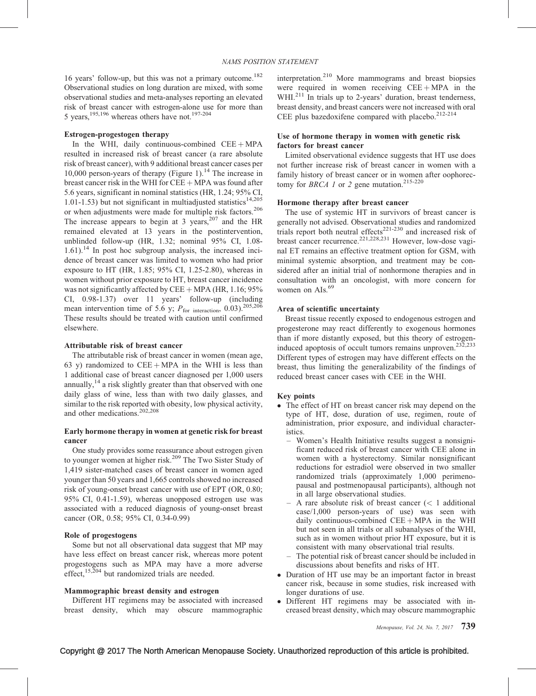16 years' follow-up, but this was not a primary outcome[.182](#page-23-0) Observational studies on long duration are mixed, with some observational studies and meta-analyses reporting an elevated risk of breast cancer with estrogen-alone use for more than 5 years,  $195,196$  whereas others have not.<sup>197-204</sup>

# Estrogen-progestogen therapy

In the WHI, daily continuous-combined  $\text{CEE} + \text{MPA}$ resulted in increased risk of breast cancer (a rare absolute risk of breast cancer), with 9 additional breast cancer cases per 10,000 person-years of therapy (Figure 1).<sup>[14](#page-19-0)</sup> The increase in breast cancer risk in the WHI for  $\text{CEE} + \text{MPA}$  was found after 5.6 years, significant in nominal statistics (HR, 1.24; 95% CI, 1.01-1.53) but not significant in multiadjusted statistics<sup>[14,205](#page-19-0)</sup> or when adjustments were made for multiple risk factors.<sup>[206](#page-23-0)</sup> The increase appears to begin at 3 years,<sup>[207](#page-23-0)</sup> and the HR remained elevated at 13 years in the postintervention, unblinded follow-up (HR, 1.32; nominal 95% CI, 1.08-  $1.61$ ).<sup>[14](#page-19-0)</sup> In post hoc subgroup analysis, the increased incidence of breast cancer was limited to women who had prior exposure to HT (HR, 1.85; 95% CI, 1.25-2.80), whereas in women without prior exposure to HT, breast cancer incidence was not significantly affected by CEE + MPA (HR,  $1.16$ ; 95% CI, 0.98-1.37) over 11 years' follow-up (including mean intervention time of 5.6 y;  $P_{\text{for interaction}}$ , 0.03).<sup>[205,206](#page-23-0)</sup> These results should be treated with caution until confirmed elsewhere.

#### Attributable risk of breast cancer

The attributable risk of breast cancer in women (mean age, 63 y) randomized to  $CEE + MPA$  in the WHI is less than 1 additional case of breast cancer diagnosed per 1,000 users annually, $14$  a risk slightly greater than that observed with one daily glass of wine, less than with two daily glasses, and similar to the risk reported with obesity, low physical activity, and other medications.[202,208](#page-23-0)

# Early hormone therapy in women at genetic risk for breast cancer

One study provides some reassurance about estrogen given to younger women at higher risk.[209](#page-23-0) The Two Sister Study of 1,419 sister-matched cases of breast cancer in women aged younger than 50 years and 1,665 controls showed no increased risk of young-onset breast cancer with use of EPT (OR, 0.80; 95% CI, 0.41-1.59), whereas unopposed estrogen use was associated with a reduced diagnosis of young-onset breast cancer (OR, 0.58; 95% CI, 0.34-0.99)

#### Role of progestogens

Some but not all observational data suggest that MP may have less effect on breast cancer risk, whereas more potent progestogens such as MPA may have a more adverse effect,  $15,204$  but randomized trials are needed.

# Mammographic breast density and estrogen

Different HT regimens may be associated with increased breast density, which may obscure mammographic interpretation.[210](#page-23-0) More mammograms and breast biopsies were required in women receiving  $\overline{CEE + MPA}$  in the WHI.<sup>[211](#page-23-0)</sup> In trials up to 2-years' duration, breast tenderness, breast density, and breast cancers were not increased with oral CEE plus bazedoxifene compared with placebo.<sup>[212-214](#page-24-0)</sup>

# Use of hormone therapy in women with genetic risk factors for breast cancer

Limited observational evidence suggests that HT use does not further increase risk of breast cancer in women with a family history of breast cancer or in women after oophorec-tomy for BRCA 1 or 2 gene mutation.<sup>[215-220](#page-24-0)</sup>

#### Hormone therapy after breast cancer

The use of systemic HT in survivors of breast cancer is generally not advised. Observational studies and randomized trials report both neutral effects<sup>[221-230](#page-24-0)</sup> and increased risk of breast cancer recurrence.[221,228,231](#page-24-0) However, low-dose vaginal ET remains an effective treatment option for GSM, with minimal systemic absorption, and treatment may be considered after an initial trial of nonhormone therapies and in consultation with an oncologist, with more concern for women on AIs.<sup>[69](#page-20-0)</sup>

#### Area of scientific uncertainty

Breast tissue recently exposed to endogenous estrogen and progesterone may react differently to exogenous hormones than if more distantly exposed, but this theory of estrogen-induced apoptosis of occult tumors remains unproven.<sup>[232,233](#page-24-0)</sup> Different types of estrogen may have different effects on the breast, thus limiting the generalizability of the findings of reduced breast cancer cases with CEE in the WHI.

# Key points

- The effect of HT on breast cancer risk may depend on the type of HT, dose, duration of use, regimen, route of administration, prior exposure, and individual characteristics.
	- Women's Health Initiative results suggest a nonsignificant reduced risk of breast cancer with CEE alone in women with a hysterectomy. Similar nonsignificant reductions for estradiol were observed in two smaller randomized trials (approximately 1,000 perimenopausal and postmenopausal participants), although not in all large observational studies.
	- A rare absolute risk of breast cancer (< 1 additional case/1,000 person-years of use) was seen with daily continuous-combined  $\text{CEE} + \text{MPA}$  in the WHI but not seen in all trials or all subanalyses of the WHI, such as in women without prior HT exposure, but it is consistent with many observational trial results.
	- The potential risk of breast cancer should be included in discussions about benefits and risks of HT.
- Duration of HT use may be an important factor in breast cancer risk, because in some studies, risk increased with longer durations of use.
- Different HT regimens may be associated with increased breast density, which may obscure mammographic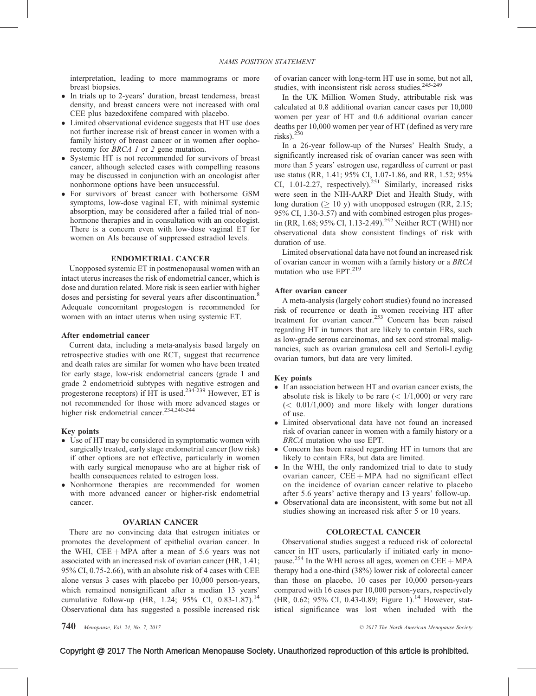interpretation, leading to more mammograms or more breast biopsies.

- $\bullet$  In trials up to 2-years' duration, breast tenderness, breast density, and breast cancers were not increased with oral CEE plus bazedoxifene compared with placebo.
- Limited observational evidence suggests that HT use does not further increase risk of breast cancer in women with a family history of breast cancer or in women after oophorectomy for BRCA 1 or 2 gene mutation.
- Systemic HT is not recommended for survivors of breast cancer, although selected cases with compelling reasons may be discussed in conjunction with an oncologist after nonhormone options have been unsuccessful.
- For survivors of breast cancer with bothersome GSM symptoms, low-dose vaginal ET, with minimal systemic absorption, may be considered after a failed trial of nonhormone therapies and in consultation with an oncologist. There is a concern even with low-dose vaginal ET for women on AIs because of suppressed estradiol levels.

#### ENDOMETRIAL CANCER

Unopposed systemic ET in postmenopausal women with an intact uterus increases the risk of endometrial cancer, which is dose and duration related. More risk is seen earlier with higher doses and persisting for several years after discontinuation.<sup>[8](#page-19-0)</sup> Adequate concomitant progestogen is recommended for women with an intact uterus when using systemic ET.

#### After endometrial cancer

Current data, including a meta-analysis based largely on retrospective studies with one RCT, suggest that recurrence and death rates are similar for women who have been treated for early stage, low-risk endometrial cancers (grade 1 and grade 2 endometrioid subtypes with negative estrogen and progesterone receptors) if HT is used.<sup>[234-239](#page-24-0)</sup> However, ET is not recommended for those with more advanced stages or higher risk endometrial cancer.<sup>[234,240-244](#page-24-0)</sup>

# Key points

- Use of HT may be considered in symptomatic women with surgically treated, early stage endometrial cancer (low risk) if other options are not effective, particularly in women with early surgical menopause who are at higher risk of health consequences related to estrogen loss.
- $\bullet$  Nonhormone therapies are recommended for women with more advanced cancer or higher-risk endometrial cancer.

#### OVARIAN CANCER

There are no convincing data that estrogen initiates or promotes the development of epithelial ovarian cancer. In the WHI,  $CEE + MPA$  after a mean of 5.6 years was not associated with an increased risk of ovarian cancer (HR, 1.41; 95% CI, 0.75-2.66), with an absolute risk of 4 cases with CEE alone versus 3 cases with placebo per 10,000 person-years, which remained nonsignificant after a median 13 years' cumulative follow-up (HR, 1.24; 95% CI, 0.83-1.87).<sup>[14](#page-19-0)</sup> Observational data has suggested a possible increased risk of ovarian cancer with long-term HT use in some, but not all, studies, with inconsistent risk across studies.<sup>[245-249](#page-24-0)</sup>

In the UK Million Women Study, attributable risk was calculated at 0.8 additional ovarian cancer cases per 10,000 women per year of HT and 0.6 additional ovarian cancer deaths per 10,000 women per year of HT (defined as very rare risks) $250$ 

In a 26-year follow-up of the Nurses' Health Study, a significantly increased risk of ovarian cancer was seen with more than 5 years' estrogen use, regardless of current or past use status (RR, 1.41; 95% CI, 1.07-1.86, and RR, 1.52; 95% CI,  $1.01-2.27$ , respectively).<sup>[251](#page-24-0)</sup> Similarly, increased risks were seen in the NIH-AARP Diet and Health Study, with long duration ( $\geq 10$  y) with unopposed estrogen (RR, 2.15; 95% CI, 1.30-3.57) and with combined estrogen plus proges-tin (RR, 1.68; 95% CI, 1.13-2.49).<sup>[252](#page-24-0)</sup> Neither RCT (WHI) nor observational data show consistent findings of risk with duration of use.

Limited observational data have not found an increased risk of ovarian cancer in women with a family history or a BRCA mutation who use EPT.<sup>[219](#page-24-0)</sup>

#### After ovarian cancer

A meta-analysis (largely cohort studies) found no increased risk of recurrence or death in women receiving HT after treatment for ovarian cancer.<sup>[253](#page-24-0)</sup> Concern has been raised regarding HT in tumors that are likely to contain ERs, such as low-grade serous carcinomas, and sex cord stromal malignancies, such as ovarian granulosa cell and Sertoli-Leydig ovarian tumors, but data are very limited.

#### Key points

- If an association between HT and ovarian cancer exists, the absolute risk is likely to be rare  $(< 1/1,000)$  or very rare  $(< 0.01/1,000)$  and more likely with longer durations of use.
- Limited observational data have not found an increased risk of ovarian cancer in women with a family history or a BRCA mutation who use EPT.
- Concern has been raised regarding HT in tumors that are likely to contain ERs, but data are limited.
- In the WHI, the only randomized trial to date to study ovarian cancer,  $CEE + MPA$  had no significant effect on the incidence of ovarian cancer relative to placebo after 5.6 years' active therapy and 13 years' follow-up.
- $\bullet$  Observational data are inconsistent, with some but not all studies showing an increased risk after 5 or 10 years.

#### COLORECTAL CANCER

Observational studies suggest a reduced risk of colorectal cancer in HT users, particularly if initiated early in meno-pause.<sup>[254](#page-24-0)</sup> In the WHI across all ages, women on  $\text{CE} + \text{MPA}$ therapy had a one-third (38%) lower risk of colorectal cancer than those on placebo, 10 cases per 10,000 person-years compared with 16 cases per 10,000 person-years, respectively (HR, 0.62; 95% CI, 0.43-0.89; Figure 1).<sup>[14](#page-19-0)</sup> However, statistical significance was lost when included with the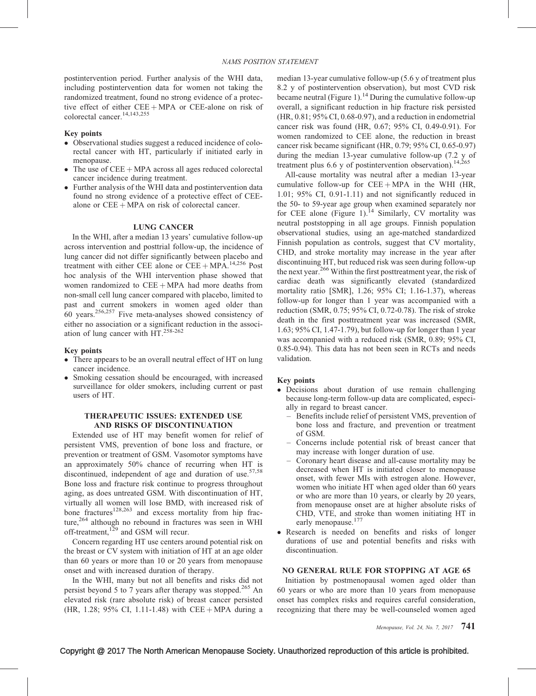postintervention period. Further analysis of the WHI data, including postintervention data for women not taking the randomized treatment, found no strong evidence of a protective effect of either  $\text{CEE} + \text{MPA}$  or  $\text{CEE}$ -alone on risk of colorectal cancer.<sup>[14,143,255](#page-19-0)</sup>

# Key points

- Observational studies suggest a reduced incidence of colorectal cancer with HT, particularly if initiated early in menopause.
- The use of  $\text{CEE} + \text{MPA}$  across all ages reduced colorectal cancer incidence during treatment.
- $\bullet$  Further analysis of the WHI data and postintervention data found no strong evidence of a protective effect of CEEalone or  $CEE + MPA$  on risk of colorectal cancer.

#### LUNG CANCER

In the WHI, after a median 13 years' cumulative follow-up across intervention and posttrial follow-up, the incidence of lung cancer did not differ significantly between placebo and treatment with either CEE alone or  $CEE + MPA$ .<sup>[14,256](#page-19-0)</sup> Post hoc analysis of the WHI intervention phase showed that women randomized to  $CEE + MPA$  had more deaths from non-small cell lung cancer compared with placebo, limited to past and current smokers in women aged older than 60 years.[256,257](#page-24-0) Five meta-analyses showed consistency of either no association or a significant reduction in the associ-ation of lung cancer with HT.<sup>[258-262](#page-25-0)</sup>

#### Key points

- There appears to be an overall neutral effect of HT on lung cancer incidence.
- Smoking cessation should be encouraged, with increased surveillance for older smokers, including current or past users of HT.

# THERAPEUTIC ISSUES: EXTENDED USE AND RISKS OF DISCONTINUATION

Extended use of HT may benefit women for relief of persistent VMS, prevention of bone loss and fracture, or prevention or treatment of GSM. Vasomotor symptoms have an approximately 50% chance of recurring when HT is discontinued, independent of age and duration of use.<sup>[57,58](#page-20-0)</sup> Bone loss and fracture risk continue to progress throughout aging, as does untreated GSM. With discontinuation of HT, virtually all women will lose BMD, with increased risk of bone fractures<sup>[128,263](#page-22-0)</sup> and excess mortality from hip frac-ture,<sup>[264](#page-25-0)</sup> although no rebound in fractures was seen in WHI off-treatment,<sup>[129](#page-22-0)</sup> and GSM will recur.

Concern regarding HT use centers around potential risk on the breast or CV system with initiation of HT at an age older than 60 years or more than 10 or 20 years from menopause onset and with increased duration of therapy.

In the WHI, many but not all benefits and risks did not persist beyond 5 to 7 years after therapy was stopped.<sup>[265](#page-25-0)</sup> An elevated risk (rare absolute risk) of breast cancer persisted (HR, 1.28; 95% CI, 1.11-1.48) with  $\text{CEE} + \text{MPA}$  during a

median 13-year cumulative follow-up (5.6 y of treatment plus 8.2 y of postintervention observation), but most CVD risk became neutral (Figure 1).<sup>[14](#page-19-0)</sup> During the cumulative follow-up overall, a significant reduction in hip fracture risk persisted (HR, 0.81; 95% CI, 0.68-0.97), and a reduction in endometrial cancer risk was found (HR, 0.67; 95% CI, 0.49-0.91). For women randomized to CEE alone, the reduction in breast cancer risk became significant (HR, 0.79; 95% CI, 0.65-0.97) during the median 13-year cumulative follow-up (7.2 y of treatment plus 6.6 y of postintervention observation).<sup>[14,265](#page-19-0)</sup>

All-cause mortality was neutral after a median 13-year cumulative follow-up for  $CEE + MPA$  in the WHI (HR, 1.01; 95% CI, 0.91-1.11) and not significantly reduced in the 50- to 59-year age group when examined separately nor for CEE alone (Figure 1).<sup>14</sup> Similarly, CV mortality was neutral poststopping in all age groups. Finnish population observational studies, using an age-matched standardized Finnish population as controls, suggest that CV mortality, CHD, and stroke mortality may increase in the year after discontinuing HT, but reduced risk was seen during follow-up the next year.<sup>[266](#page-25-0)</sup> Within the first posttreatment year, the risk of cardiac death was significantly elevated (standardized mortality ratio [SMR], 1.26; 95% CI; 1.16-1.37), whereas follow-up for longer than 1 year was accompanied with a reduction (SMR, 0.75; 95% CI, 0.72-0.78). The risk of stroke death in the first posttreatment year was increased (SMR, 1.63; 95% CI, 1.47-1.79), but follow-up for longer than 1 year was accompanied with a reduced risk (SMR, 0.89; 95% CI, 0.85-0.94). This data has not been seen in RCTs and needs validation.

# Key points

- Decisions about duration of use remain challenging because long-term follow-up data are complicated, especially in regard to breast cancer.
	- Benefits include relief of persistent VMS, prevention of bone loss and fracture, and prevention or treatment of GSM.
	- Concerns include potential risk of breast cancer that may increase with longer duration of use.
	- Coronary heart disease and all-cause mortality may be decreased when HT is initiated closer to menopause onset, with fewer MIs with estrogen alone. However, women who initiate HT when aged older than 60 years or who are more than 10 years, or clearly by 20 years, from menopause onset are at higher absolute risks of CHD, VTE, and stroke than women initiating HT in early menopause.<sup>[177](#page-23-0)</sup>
- Research is needed on benefits and risks of longer durations of use and potential benefits and risks with discontinuation.

#### NO GENERAL RULE FOR STOPPING AT AGE 65

Initiation by postmenopausal women aged older than 60 years or who are more than 10 years from menopause onset has complex risks and requires careful consideration, recognizing that there may be well-counseled women aged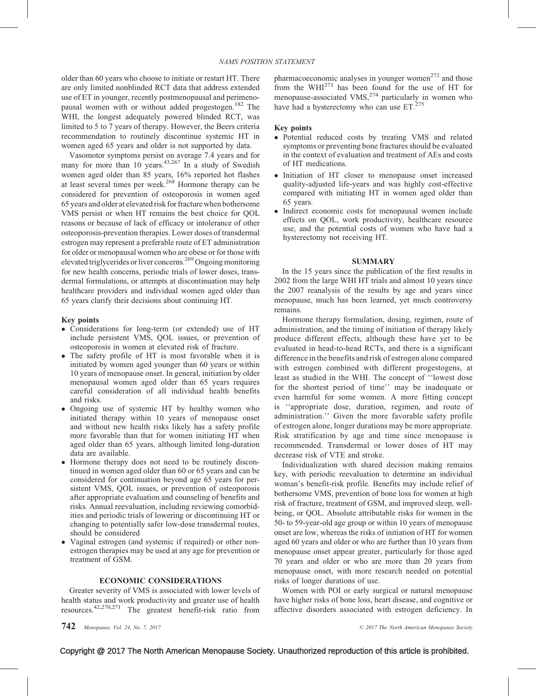older than 60 years who choose to initiate or restart HT. There are only limited nonblinded RCT data that address extended use of ET in younger, recently postmenopausal and perimeno-pausal women with or without added progestogen.<sup>[182](#page-23-0)</sup> The WHI, the longest adequately powered blinded RCT, was limited to 5 to 7 years of therapy. However, the Beers criteria recommendation to routinely discontinue systemic HT in women aged 65 years and older is not supported by data.

Vasomotor symptoms persist on average 7.4 years and for many for more than  $10$  years.<sup>43,267</sup> In a study of Swedish women aged older than 85 years, 16% reported hot flashes at least several times per week[.268](#page-25-0) Hormone therapy can be considered for prevention of osteoporosis in women aged 65 years and older at elevated risk for fracture when bothersome VMS persist or when HT remains the best choice for QOL reasons or because of lack of efficacy or intolerance of other osteoporosis-prevention therapies. Lower doses of transdermal estrogen may represent a preferable route of ET administration for older or menopausal women who are obese or for those with elevated triglycerides or liver concerns.<sup>[269](#page-25-0)</sup> Ongoing monitoring for new health concerns, periodic trials of lower doses, transdermal formulations, or attempts at discontinuation may help healthcare providers and individual women aged older than 65 years clarify their decisions about continuing HT.

#### Key points

- Considerations for long-term (or extended) use of HT include persistent VMS, QOL issues, or prevention of osteoporosis in women at elevated risk of fracture.
- The safety profile of HT is most favorable when it is initiated by women aged younger than 60 years or within 10 years of menopause onset. In general, initiation by older menopausal women aged older than 65 years requires careful consideration of all individual health benefits and risks.
- $\bullet$  Ongoing use of systemic HT by healthy women who initiated therapy within 10 years of menopause onset and without new health risks likely has a safety profile more favorable than that for women initiating HT when aged older than 65 years, although limited long-duration data are available.
- $\bullet$  Hormone therapy does not need to be routinely discontinued in women aged older than 60 or 65 years and can be considered for continuation beyond age 65 years for persistent VMS, QOL issues, or prevention of osteoporosis after appropriate evaluation and counseling of benefits and risks. Annual reevaluation, including reviewing comorbidities and periodic trials of lowering or discontinuing HT or changing to potentially safer low-dose transdermal routes, should be considered
- Vaginal estrogen (and systemic if required) or other nonestrogen therapies may be used at any age for prevention or treatment of GSM.

#### ECONOMIC CONSIDERATIONS

Greater severity of VMS is associated with lower levels of health status and work productivity and greater use of health resources.42,270,271 The greatest benefit-risk ratio from

pharmacoeconomic analyses in younger women<sup>[272](#page-25-0)</sup> and those from the  $WHI<sup>273</sup>$  $WHI<sup>273</sup>$  $WHI<sup>273</sup>$  has been found for the use of HT for menopause-associated  $VMS$ ,<sup>[274](#page-25-0)</sup> particularly in women who have had a hysterectomy who can use ET.<sup>[275](#page-25-0)</sup>

#### Key points

- Potential reduced costs by treating VMS and related symptoms or preventing bone fractures should be evaluated in the context of evaluation and treatment of AEs and costs of HT medications.
- Initiation of HT closer to menopause onset increased quality-adjusted life-years and was highly cost-effective compared with initiating HT in women aged older than 65 years.
- Indirect economic costs for menopausal women include effects on QOL, work productivity, healthcare resource use, and the potential costs of women who have had a hysterectomy not receiving HT.

#### **SUMMARY**

In the 15 years since the publication of the first results in 2002 from the large WHI HT trials and almost 10 years since the 2007 reanalysis of the results by age and years since menopause, much has been learned, yet much controversy remains.

Hormone therapy formulation, dosing, regimen, route of administration, and the timing of initiation of therapy likely produce different effects, although these have yet to be evaluated in head-to-head RCTs, and there is a significant difference in the benefits and risk of estrogen alone compared with estrogen combined with different progestogens, at least as studied in the WHI. The concept of ''lowest dose for the shortest period of time'' may be inadequate or even harmful for some women. A more fitting concept is ''appropriate dose, duration, regimen, and route of administration.'' Given the more favorable safety profile of estrogen alone, longer durations may be more appropriate. Risk stratification by age and time since menopause is recommended. Transdermal or lower doses of HT may decrease risk of VTE and stroke.

Individualization with shared decision making remains key, with periodic reevaluation to determine an individual woman's benefit-risk profile. Benefits may include relief of bothersome VMS, prevention of bone loss for women at high risk of fracture, treatment of GSM, and improved sleep, wellbeing, or QOL. Absolute attributable risks for women in the 50- to 59-year-old age group or within 10 years of menopause onset are low, whereas the risks of initiation of HT for women aged 60 years and older or who are further than 10 years from menopause onset appear greater, particularly for those aged 70 years and older or who are more than 20 years from menopause onset, with more research needed on potential risks of longer durations of use.

Women with POI or early surgical or natural menopause have higher risks of bone loss, heart disease, and cognitive or affective disorders associated with estrogen deficiency. In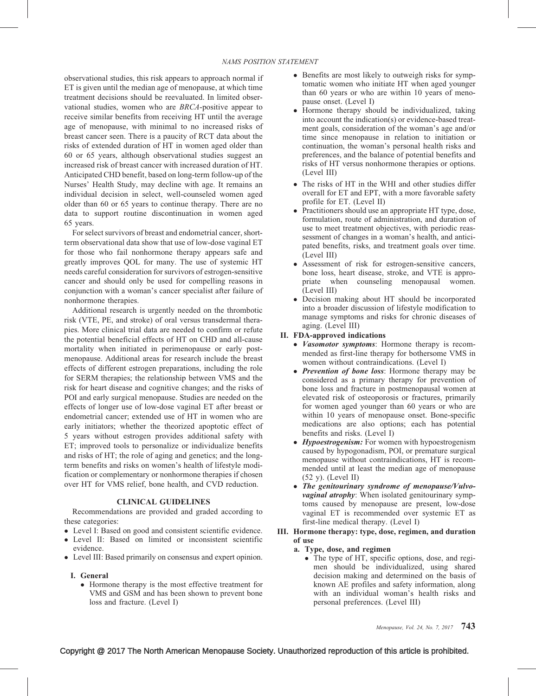observational studies, this risk appears to approach normal if ET is given until the median age of menopause, at which time treatment decisions should be reevaluated. In limited observational studies, women who are BRCA-positive appear to receive similar benefits from receiving HT until the average age of menopause, with minimal to no increased risks of breast cancer seen. There is a paucity of RCT data about the risks of extended duration of HT in women aged older than 60 or 65 years, although observational studies suggest an increased risk of breast cancer with increased duration of HT. Anticipated CHD benefit, based on long-term follow-up of the Nurses' Health Study, may decline with age. It remains an individual decision in select, well-counseled women aged older than 60 or 65 years to continue therapy. There are no data to support routine discontinuation in women aged 65 years.

For select survivors of breast and endometrial cancer, shortterm observational data show that use of low-dose vaginal ET for those who fail nonhormone therapy appears safe and greatly improves QOL for many. The use of systemic HT needs careful consideration for survivors of estrogen-sensitive cancer and should only be used for compelling reasons in conjunction with a woman's cancer specialist after failure of nonhormone therapies.

Additional research is urgently needed on the thrombotic risk (VTE, PE, and stroke) of oral versus transdermal therapies. More clinical trial data are needed to confirm or refute the potential beneficial effects of HT on CHD and all-cause mortality when initiated in perimenopause or early postmenopause. Additional areas for research include the breast effects of different estrogen preparations, including the role for SERM therapies; the relationship between VMS and the risk for heart disease and cognitive changes; and the risks of POI and early surgical menopause. Studies are needed on the effects of longer use of low-dose vaginal ET after breast or endometrial cancer; extended use of HT in women who are early initiators; whether the theorized apoptotic effect of 5 years without estrogen provides additional safety with ET; improved tools to personalize or individualize benefits and risks of HT; the role of aging and genetics; and the longterm benefits and risks on women's health of lifestyle modification or complementary or nonhormone therapies if chosen over HT for VMS relief, bone health, and CVD reduction.

# CLINICAL GUIDELINES

Recommendations are provided and graded according to these categories:

- Level I: Based on good and consistent scientific evidence.
- Level II: Based on limited or inconsistent scientific evidence.
- Level III: Based primarily on consensus and expert opinion.

# I. General

- Hormone therapy is the most effective treatment for VMS and GSM and has been shown to prevent bone loss and fracture. (Level I)

- Benefits are most likely to outweigh risks for symptomatic women who initiate HT when aged younger than 60 years or who are within 10 years of menopause onset. (Level I)
- Hormone therapy should be individualized, taking into account the indication(s) or evidence-based treatment goals, consideration of the woman's age and/or time since menopause in relation to initiation or continuation, the woman's personal health risks and preferences, and the balance of potential benefits and risks of HT versus nonhormone therapies or options. (Level III)
- The risks of HT in the WHI and other studies differ overall for ET and EPT, with a more favorable safety profile for ET. (Level II)
- Practitioners should use an appropriate HT type, dose, formulation, route of administration, and duration of use to meet treatment objectives, with periodic reassessment of changes in a woman's health, and anticipated benefits, risks, and treatment goals over time. (Level III)
- Assessment of risk for estrogen-sensitive cancers, bone loss, heart disease, stroke, and VTE is appropriate when counseling menopausal women. (Level III)
- Decision making about HT should be incorporated into a broader discussion of lifestyle modification to manage symptoms and risks for chronic diseases of aging. (Level III)

# II. FDA-approved indications

- Vasomotor symptoms: Hormone therapy is recommended as first-line therapy for bothersome VMS in women without contraindications. (Level I)
- Prevention of bone loss: Hormone therapy may be considered as a primary therapy for prevention of bone loss and fracture in postmenopausal women at elevated risk of osteoporosis or fractures, primarily for women aged younger than 60 years or who are within 10 years of menopause onset. Bone-specific medications are also options; each has potential benefits and risks. (Level I)
- Hypoestrogenism: For women with hypoestrogenism caused by hypogonadism, POI, or premature surgical menopause without contraindications, HT is recommended until at least the median age of menopause  $(52 \text{ v})$ . (Level II)
- The genitourinary syndrome of menopause/Vulvovaginal atrophy: When isolated genitourinary symptoms caused by menopause are present, low-dose vaginal ET is recommended over systemic ET as first-line medical therapy. (Level I)
- III. Hormone therapy: type, dose, regimen, and duration of use
	- a. Type, dose, and regimen
		- The type of HT, specific options, dose, and regimen should be individualized, using shared decision making and determined on the basis of known AE profiles and safety information, along with an individual woman's health risks and personal preferences. (Level III)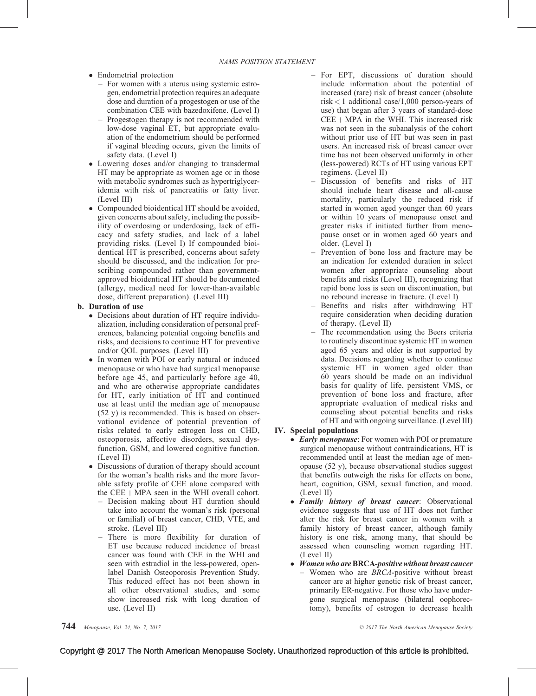- Endometrial protection
	- For women with a uterus using systemic estrogen, endometrial protection requires an adequate dose and duration of a progestogen or use of the combination CEE with bazedoxifene. (Level I)
	- Progestogen therapy is not recommended with low-dose vaginal ET, but appropriate evaluation of the endometrium should be performed if vaginal bleeding occurs, given the limits of safety data. (Level I)
- Lowering doses and/or changing to transdermal HT may be appropriate as women age or in those with metabolic syndromes such as hypertriglyceridemia with risk of pancreatitis or fatty liver. (Level III)
- Compounded bioidentical HT should be avoided, given concerns about safety, including the possibility of overdosing or underdosing, lack of efficacy and safety studies, and lack of a label providing risks. (Level I) If compounded bioidentical HT is prescribed, concerns about safety should be discussed, and the indication for prescribing compounded rather than governmentapproved bioidentical HT should be documented (allergy, medical need for lower-than-available dose, different preparation). (Level III)

# b. Duration of use

- Decisions about duration of HT require individualization, including consideration of personal preferences, balancing potential ongoing benefits and risks, and decisions to continue HT for preventive and/or QOL purposes. (Level III)
- In women with POI or early natural or induced menopause or who have had surgical menopause before age 45, and particularly before age 40, and who are otherwise appropriate candidates for HT, early initiation of HT and continued use at least until the median age of menopause (52 y) is recommended. This is based on observational evidence of potential prevention of risks related to early estrogen loss on CHD, osteoporosis, affective disorders, sexual dysfunction, GSM, and lowered cognitive function. (Level II)
- Discussions of duration of therapy should account for the woman's health risks and the more favorable safety profile of CEE alone compared with the  $\text{CEE} + \text{MPA}$  seen in the WHI overall cohort.
	- Decision making about HT duration should take into account the woman's risk (personal or familial) of breast cancer, CHD, VTE, and stroke. (Level III)
	- There is more flexibility for duration of ET use because reduced incidence of breast cancer was found with CEE in the WHI and seen with estradiol in the less-powered, openlabel Danish Osteoporosis Prevention Study. This reduced effect has not been shown in all other observational studies, and some show increased risk with long duration of use. (Level II)
- For EPT, discussions of duration should include information about the potential of increased (rare) risk of breast cancer (absolute risk  $<$  1 additional case/1,000 person-years of use) that began after 3 years of standard-dose  $CEE + MPA$  in the WHI. This increased risk was not seen in the subanalysis of the cohort without prior use of HT but was seen in past users. An increased risk of breast cancer over time has not been observed uniformly in other (less-powered) RCTs of HT using various EPT regimens. (Level II)
- Discussion of benefits and risks of HT should include heart disease and all-cause mortality, particularly the reduced risk if started in women aged younger than 60 years or within 10 years of menopause onset and greater risks if initiated further from menopause onset or in women aged 60 years and older. (Level I)
- Prevention of bone loss and fracture may be an indication for extended duration in select women after appropriate counseling about benefits and risks (Level III), recognizing that rapid bone loss is seen on discontinuation, but no rebound increase in fracture. (Level I)
- Benefits and risks after withdrawing HT require consideration when deciding duration of therapy. (Level II)
- The recommendation using the Beers criteria to routinely discontinue systemic HT in women aged 65 years and older is not supported by data. Decisions regarding whether to continue systemic HT in women aged older than 60 years should be made on an individual basis for quality of life, persistent VMS, or prevention of bone loss and fracture, after appropriate evaluation of medical risks and counseling about potential benefits and risks of HT and with ongoing surveillance. (Level III)

# IV. Special populations

- Early menopause: For women with POI or premature surgical menopause without contraindications, HT is recommended until at least the median age of menopause (52 y), because observational studies suggest that benefits outweigh the risks for effects on bone, heart, cognition, GSM, sexual function, and mood. (Level II)
- Family history of breast cancer: Observational evidence suggests that use of HT does not further alter the risk for breast cancer in women with a family history of breast cancer, although family history is one risk, among many, that should be assessed when counseling women regarding HT. (Level II)
- Women who are BRCA-positive without breast cancer
	- Women who are BRCA-positive without breast cancer are at higher genetic risk of breast cancer, primarily ER-negative. For those who have undergone surgical menopause (bilateral oophorectomy), benefits of estrogen to decrease health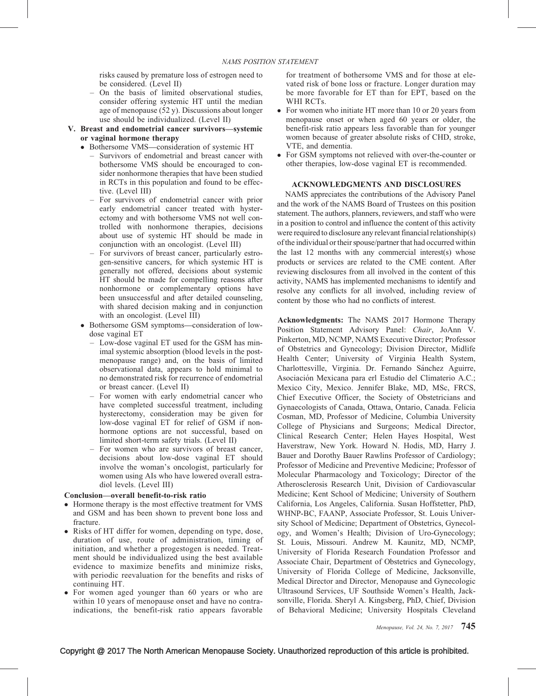risks caused by premature loss of estrogen need to be considered. (Level II)

- On the basis of limited observational studies, consider offering systemic HT until the median age of menopause (52 y). Discussions about longer use should be individualized. (Level II)
- V. Breast and endometrial cancer survivors—systemic or vaginal hormone therapy
	- Bothersome VMS—consideration of systemic HT
		- Survivors of endometrial and breast cancer with bothersome VMS should be encouraged to consider nonhormone therapies that have been studied in RCTs in this population and found to be effective. (Level III)
		- For survivors of endometrial cancer with prior early endometrial cancer treated with hysterectomy and with bothersome VMS not well controlled with nonhormone therapies, decisions about use of systemic HT should be made in conjunction with an oncologist. (Level III)
		- For survivors of breast cancer, particularly estrogen-sensitive cancers, for which systemic HT is generally not offered, decisions about systemic HT should be made for compelling reasons after nonhormone or complementary options have been unsuccessful and after detailed counseling, with shared decision making and in conjunction with an oncologist. (Level III)
	- Bothersome GSM symptoms—consideration of lowdose vaginal ET
		- Low-dose vaginal ET used for the GSM has minimal systemic absorption (blood levels in the postmenopause range) and, on the basis of limited observational data, appears to hold minimal to no demonstrated risk for recurrence of endometrial or breast cancer. (Level II)
		- For women with early endometrial cancer who have completed successful treatment, including hysterectomy, consideration may be given for low-dose vaginal ET for relief of GSM if nonhormone options are not successful, based on limited short-term safety trials. (Level II)
		- For women who are survivors of breast cancer, decisions about low-dose vaginal ET should involve the woman's oncologist, particularly for women using AIs who have lowered overall estradiol levels. (Level III)

# Conclusion—overall benefit-to-risk ratio

- Hormone therapy is the most effective treatment for VMS and GSM and has been shown to prevent bone loss and fracture.
- Risks of HT differ for women, depending on type, dose, duration of use, route of administration, timing of initiation, and whether a progestogen is needed. Treatment should be individualized using the best available evidence to maximize benefits and minimize risks, with periodic reevaluation for the benefits and risks of continuing HT.
- $\bullet$  For women aged younger than 60 years or who are within 10 years of menopause onset and have no contraindications, the benefit-risk ratio appears favorable

for treatment of bothersome VMS and for those at elevated risk of bone loss or fracture. Longer duration may be more favorable for ET than for EPT, based on the WHI RCTs.

- For women who initiate HT more than 10 or 20 years from menopause onset or when aged 60 years or older, the benefit-risk ratio appears less favorable than for younger women because of greater absolute risks of CHD, stroke, VTE, and dementia.
- $\bullet$  For GSM symptoms not relieved with over-the-counter or other therapies, low-dose vaginal ET is recommended.

# ACKNOWLEDGMENTS AND DISCLOSURES

NAMS appreciates the contributions of the Advisory Panel and the work of the NAMS Board of Trustees on this position statement. The authors, planners, reviewers, and staff who were in a position to control and influence the content of this activity were required to disclosure any relevant financial relationship(s) of the individual or their spouse/partner that had occurred within the last 12 months with any commercial interest(s) whose products or services are related to the CME content. After reviewing disclosures from all involved in the content of this activity, NAMS has implemented mechanisms to identify and resolve any conflicts for all involved, including review of content by those who had no conflicts of interest.

Acknowledgments: The NAMS 2017 Hormone Therapy Position Statement Advisory Panel: Chair, JoAnn V. Pinkerton, MD, NCMP, NAMS Executive Director; Professor of Obstetrics and Gynecology; Division Director, Midlife Health Center; University of Virginia Health System, Charlottesville, Virginia. Dr. Fernando Sánchez Aguirre, Asociación Mexicana para erl Estudio del Climaterio A.C.; Mexico City, Mexico. Jennifer Blake, MD, MSc, FRCS, Chief Executive Officer, the Society of Obstetricians and Gynaecologists of Canada, Ottawa, Ontario, Canada. Felicia Cosman, MD, Professor of Medicine, Columbia University College of Physicians and Surgeons; Medical Director, Clinical Research Center; Helen Hayes Hospital, West Haverstraw, New York. Howard N. Hodis, MD, Harry J. Bauer and Dorothy Bauer Rawlins Professor of Cardiology; Professor of Medicine and Preventive Medicine; Professor of Molecular Pharmacology and Toxicology; Director of the Atherosclerosis Research Unit, Division of Cardiovascular Medicine; Kent School of Medicine; University of Southern California, Los Angeles, California. Susan Hoffstetter, PhD, WHNP-BC, FAANP, Associate Professor, St. Louis University School of Medicine; Department of Obstetrics, Gynecology, and Women's Health; Division of Uro-Gynecology; St. Louis, Missouri. Andrew M. Kaunitz, MD, NCMP, University of Florida Research Foundation Professor and Associate Chair, Department of Obstetrics and Gynecology, University of Florida College of Medicine, Jacksonville, Medical Director and Director, Menopause and Gynecologic Ultrasound Services, UF Southside Women's Health, Jacksonville, Florida. Sheryl A. Kingsberg, PhD, Chief, Division of Behavioral Medicine; University Hospitals Cleveland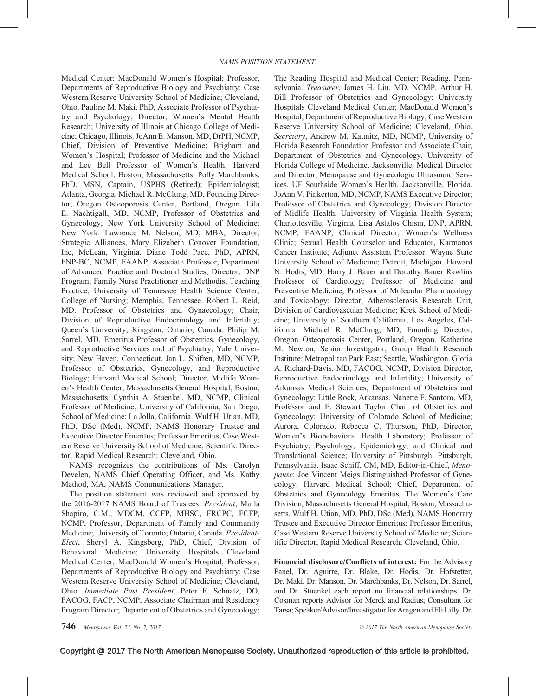Medical Center; MacDonald Women's Hospital; Professor, Departments of Reproductive Biology and Psychiatry; Case Western Reserve University School of Medicine; Cleveland, Ohio. Pauline M. Maki, PhD, Associate Professor of Psychiatry and Psychology; Director, Women's Mental Health Research; University of Illinois at Chicago College of Medicine; Chicago, Illinois. JoAnn E. Manson, MD, DrPH, NCMP, Chief, Division of Preventive Medicine; Brigham and Women's Hospital; Professor of Medicine and the Michael and Lee Bell Professor of Women's Health; Harvard Medical School; Boston, Massachusetts. Polly Marchbanks, PhD, MSN, Captain, USPHS (Retired); Epidemiologist; Atlanta, Georgia. Michael R. McClung, MD, Founding Director, Oregon Osteoporosis Center, Portland, Oregon. Lila E. Nachtigall, MD, NCMP, Professor of Obstetrics and Gynecology; New York University School of Medicine; New York. Lawrence M. Nelson, MD, MBA, Director, Strategic Alliances, Mary Elizabeth Conover Foundation, Inc, McLean, Virginia. Diane Todd Pace, PhD, APRN, FNP-BC, NCMP, FAANP, Associate Professor, Department of Advanced Practice and Doctoral Studies; Director, DNP Program; Family Nurse Practitioner and Methodist Teaching Practice; University of Tennessee Health Science Center; College of Nursing; Memphis, Tennessee. Robert L. Reid, MD. Professor of Obstetrics and Gynaecology; Chair, Division of Reproductive Endocrinology and Infertility; Queen's University; Kingston, Ontario, Canada. Philip M. Sarrel, MD, Emeritus Professor of Obstetrics, Gynecology, and Reproductive Services and of Psychiatry; Yale University; New Haven, Connecticut. Jan L. Shifren, MD, NCMP, Professor of Obstetrics, Gynecology, and Reproductive Biology; Harvard Medical School; Director, Midlife Women's Health Center; Massachusetts General Hospital; Boston, Massachusetts. Cynthia A. Stuenkel, MD, NCMP, Clinical Professor of Medicine; University of California, San Diego, School of Medicine; La Jolla, California. Wulf H. Utian, MD, PhD, DSc (Med), NCMP, NAMS Honorary Trustee and Executive Director Emeritus; Professor Emeritus, Case Western Reserve University School of Medicine; Scientific Director, Rapid Medical Research; Cleveland, Ohio.

NAMS recognizes the contributions of Ms. Carolyn Develen, NAMS Chief Operating Officer, and Ms. Kathy Method, MA, NAMS Communications Manager.

The position statement was reviewed and approved by the 2016-2017 NAMS Board of Trustees: President, Marla Shapiro, C.M., MDCM, CCFP, MHSC, FRCPC, FCFP, NCMP, Professor, Department of Family and Community Medicine; University of Toronto; Ontario, Canada. President-Elect, Sheryl A. Kingsberg, PhD, Chief, Division of Behavioral Medicine; University Hospitals Cleveland Medical Center; MacDonald Women's Hospital; Professor, Departments of Reproductive Biology and Psychiatry; Case Western Reserve University School of Medicine; Cleveland, Ohio. Immediate Past President, Peter F. Schnatz, DO, FACOG, FACP, NCMP, Associate Chairman and Residency Program Director; Department of Obstetrics and Gynecology;

The Reading Hospital and Medical Center; Reading, Pennsylvania. Treasurer, James H. Liu, MD, NCMP, Arthur H. Bill Professor of Obstetrics and Gynecology; University Hospitals Cleveland Medical Center; MacDonald Women's Hospital; Department of Reproductive Biology; Case Western Reserve University School of Medicine; Cleveland, Ohio. Secretary, Andrew M. Kaunitz, MD, NCMP, University of Florida Research Foundation Professor and Associate Chair, Department of Obstetrics and Gynecology, University of Florida College of Medicine, Jacksonville, Medical Director and Director, Menopause and Gynecologic Ultrasound Services, UF Southside Women's Health, Jacksonville, Florida. JoAnn V. Pinkerton, MD, NCMP, NAMS Executive Director; Professor of Obstetrics and Gynecology; Division Director of Midlife Health; University of Virginia Health System; Charlottesville, Virginia. Lisa Astalos Chism, DNP, APRN, NCMP, FAANP, Clinical Director, Women's Wellness Clinic; Sexual Health Counselor and Educator, Karmanos Cancer Institute; Adjunct Assistant Professor, Wayne State University School of Medicine; Detroit, Michigan. Howard N. Hodis, MD, Harry J. Bauer and Dorothy Bauer Rawlins Professor of Cardiology; Professor of Medicine and Preventive Medicine; Professor of Molecular Pharmacology and Toxicology; Director, Atherosclerosis Research Unit, Division of Cardiovascular Medicine; Krek School of Medicine; University of Southern California; Los Angeles, California. Michael R. McClung, MD, Founding Director, Oregon Osteoporosis Center, Portland, Oregon. Katherine M. Newton, Senior Investigator, Group Health Research Institute; Metropolitan Park East; Seattle, Washington. Gloria A. Richard-Davis, MD, FACOG, NCMP, Division Director, Reproductive Endocrinology and Infertility; University of Arkansas Medical Sciences; Department of Obstetrics and Gynecology; Little Rock, Arkansas. Nanette F. Santoro, MD, Professor and E. Stewart Taylor Chair of Obstetrics and Gynecology; University of Colorado School of Medicine; Aurora, Colorado. Rebecca C. Thurston, PhD, Director, Women's Biobehavioral Health Laboratory; Professor of Psychiatry, Psychology, Epidemiology, and Clinical and Translational Science; University of Pittsburgh; Pittsburgh, Pennsylvania. Isaac Schiff, CM, MD, Editor-in-Chief, Menopause; Joe Vincent Meigs Distinguished Professor of Gynecology; Harvard Medical School; Chief, Department of Obstetrics and Gynecology Emeritus, The Women's Care Division, Massachusetts General Hospital; Boston, Massachusetts. Wulf H. Utian, MD, PhD, DSc (Med), NAMS Honorary Trustee and Executive Director Emeritus; Professor Emeritus, Case Western Reserve University School of Medicine; Scientific Director, Rapid Medical Research; Cleveland, Ohio.

Financial disclosure/Conflicts of interest: For the Advisory Panel, Dr. Aguirre, Dr. Blake, Dr. Hodis, Dr. Hofstetter, Dr. Maki, Dr. Manson, Dr. Marchbanks, Dr. Nelson, Dr. Sarrel, and Dr. Stuenkel each report no financial relationships. Dr. Cosman reports Advisor for Merck and Radius; Consultant for Tarsa; Speaker/Advisor/Investigator for Amgen and Eli Lilly. Dr.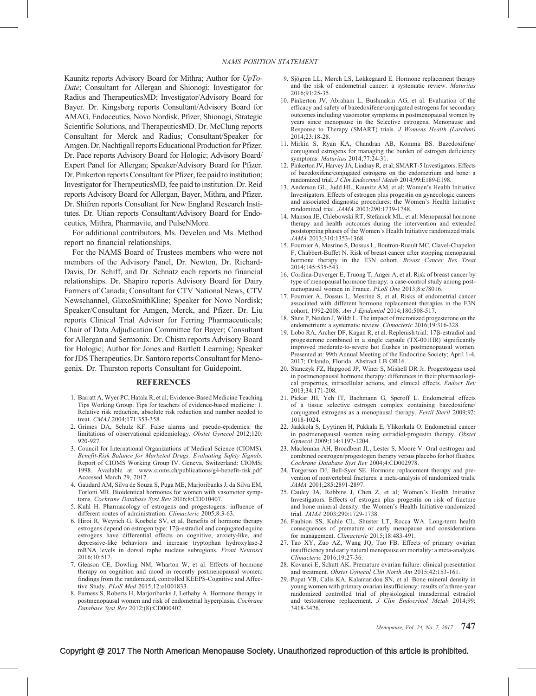<span id="page-19-0"></span>Kaunitz reports Advisory Board for Mithra; Author for UpTo-Date; Consultant for Allergan and Shionogi; Investigator for Radius and TherapeuticsMD; Investigator/Advisory Board for Bayer. Dr. Kingsberg reports Consultant/Advisory Board for AMAG, Endoceutics, Novo Nordisk, Pfizer, Shionogi, Strategic Scientific Solutions, and TherapeuticsMD. Dr. McClung reports Consultant for Merck and Radius; Consultant/Speaker for Amgen. Dr. Nachtigall reports Educational Production for Pfizer. Dr. Pace reports Advisory Board for Hologic; Advisory Board/ Expert Panel for Allergan; Speaker/Advisory Board for Pfizer. Dr. Pinkerton reports Consultant for Pfizer, fee paid to institution; Investigator for TherapeuticsMD, fee paid to institution. Dr. Reid reports Advisory Board for Allergan, Bayer, Mithra, and Pfizer. Dr. Shifren reports Consultant for New England Research Institutes. Dr. Utian reports Consultant/Advisory Board for Endoceutics, Mithra, Pharmavite, and PulseNMore.

For additional contributors, Ms. Develen and Ms. Method report no financial relationships.

For the NAMS Board of Trustees members who were not members of the Advisory Panel, Dr. Newton, Dr. Richard-Davis, Dr. Schiff, and Dr. Schnatz each reports no financial relationships. Dr. Shapiro reports Advisory Board for Dairy Farmers of Canada; Consultant for CTV National News, CTV Newschannel, GlaxoSmithKline; Speaker for Novo Nordisk; Speaker/Consultant for Amgen, Merck, and Pfizer. Dr. Liu reports Clinical Trial Advisor for Ferring Pharmaceuticals; Chair of Data Adjudication Committee for Bayer; Consultant for Allergan and Sermonix. Dr. Chism reports Advisory Board for Hologic; Author for Jones and Bartlett Learning; Speaker for JDS Therapeutics. Dr. Santoro reports Consultant for Menogenix. Dr. Thurston reports Consultant for Guidepoint.

#### **REFERENCES**

- 1. Barratt A, Wyer PC, Hatala R, et al; Evidence-Based Medicine Teaching Tips Working Group. Tips for teachers of evidence-based medicine: 1. Relative risk reduction, absolute risk reduction and number needed to treat. CMAJ 2004;171:353-358.
- 2. Grimes DA, Schulz KF. False alarms and pseudo-epidemics: the limitations of observational epidemiology. Obstet Gynecol 2012;120: 920-927.
- 3. Council for International Organizations of Medical Science (CIOMS). Benefit-Risk Balance for Marketed Drugs: Evaluating Safety Signals. Report of CIOMS Working Group IV. Geneva, Switzerland: CIOMS; 1998. Available at: [www.cioms.ch/publications/g4-benefit-risk.pdf](http://www.cioms.ch/publications/g4-benefit-risk.pdf). Accessed March 29, 2017.
- 4. Gaudard AM, Silva de Souza S, Puga ME, Marjoribanks J, da Silva EM, Torloni MR. Bioidentical hormones for women with vasomotor symptoms. Cochrane Database Syst Rev 2016;8:CD010407.
- 5. Kuhl H. Pharmacology of estrogens and progestogens: influence of different routes of administration. Climacteric 2005;8:3-63.
- 6. Hiroi R, Weyrich G, Koebele SV, et al. Benefits of hormone therapy estrogens depend on estrogen type: 178-estradiol and conjugated equine estrogens have differential effects on cognitive, anxiety-like, and depressive-like behaviors and increase tryptophan hydroxylase-2 mRNA levels in dorsal raphe nucleus subregions. Front Neurosci 2016;10:517.
- 7. Gleason CE, Dowling NM, Wharton W, et al. Effects of hormone therapy on cognition and mood in recently postmenopausal women: findings from the randomized, controlled KEEPS-Cognitive and Affective Study. PLoS Med 2015;12:e1001833.
- 8. Furness S, Roberts H, Marjoribanks J, Lethaby A. Hormone therapy in postmenopausal women and risk of endometrial hyperplasia. Cochrane Database Syst Rev 2012;(8):CD000402.
- 9. Sjögren LL, Mørch LS, Løkkegaard E. Hormone replacement therapy and the risk of endometrial cancer: a systematic review. Maturitas 2016;91:25-35.
- 10. Pinkerton JV, Abraham L, Bushmakin AG, et al. Evaluation of the efficacy and safety of bazedoxifene/conjugated estrogens for secondary outcomes including vasomotor symptoms in postmenopausal women by years since menopause in the Selective estrogens, Menopause and Response to Therapy (SMART) trials. J Womens Health (Larchmt) 2014;23:18-28.
- 11. Mirkin S, Ryan KA, Chandran AB, Komma BS. Bazedoxifene/ conjugated estrogens for managing the burden of estrogen deficiency symptoms. Maturitas 2014;77:24-31.
- 12. Pinkerton JV, Harvey JA, Lindsay R, et al; SMART-5 Investigators. Effects of bazedoxifene/conjugated estrogens on the endometrium and bone: a randomized trial. J Clin Endocrinol Metab 2014;99:E189-E198.
- 13. Anderson GL, Judd HL, Kaunitz AM, et al; Women's Health Initiative Investigators. Effects of estrogen plus progestin on gynecologic cancers and associated diagnostic procedures: the Women's Health Initiative randomized trial. JAMA 2003;290:1739-1748.
- 14. Manson JE, Chlebowski RT, Stefanick ML, et al. Menopausal hormone therapy and health outcomes during the intervention and extended poststopping phases of the Women's Health Initiative randomized trials. JAMA 2013;310:1353-1368.
- 15. Fournier A, Mesrine S, Dossus L, Boutron-Ruault MC, Clavel-Chapelon F, Chabbert-Buffet N. Risk of breast cancer after stopping menopausal hormone therapy in the E3N cohort. Breast Cancer Res Treat  $2014.145.535 - 543$
- 16. Cordina-Duverger E, Truong T, Anger A, et al. Risk of breast cancer by type of menopausal hormone therapy: a case-control study among postmenopausal women in France. PLoS One 2013;8:e78016.
- 17. Fournier A, Dossus L, Mesrine S, et al. Risks of endometrial cancer associated with different hormone replacement therapies in the E3N cohort, 1992-2008. Am J Epidemiol 2014;180:508-517.
- 18. Stute P, Neulen J, Wildt L. The impact of micronized progesterone on the endometrium: a systematic review. Climacteric 2016;19:316-328.
- 19. Lobo RA, Archer DF, Kagan R, et al. Replenish trial: 17ß-estradiol and progesterone combined in a single capsule (TX-001HR) significantly improved moderate-to-severe hot flushes in postmenopausal women. Presented at: 99th Annual Meeting of the Endocrine Society; April 1-4, 2017; Orlando, Florida. Abstract LB OR16.
- 20. Stanczyk FZ, Hapgood JP, Winer S, Mishell DR Jr. Progestogens used in postmenopausal hormone therapy: differences in their pharmacological properties, intracellular actions, and clinical effects. Endocr Rev 2013;34:171-208.
- 21. Pickar JH, Yeh IT, Bachmann G, Speroff L. Endometrial effects of a tissue selective estrogen complex containing bazedoxifene/ conjugated estrogens as a menopausal therapy. Fertil Steril 2009;92: 1018-1024.
- 22. Jaakkola S, Lyytinen H, Pukkala E, Ylikorkala O. Endometrial cancer in postmenopausal women using estradiol-progestin therapy. Obstet Gynecol 2009;114:1197-1204.
- 23. Maclennan AH, Broadbent JL, Lester S, Moore V. Oral oestrogen and combined oestrogen/progestogen therapy versus placebo for hot flushes. Cochrane Database Syst Rev 2004;4:CD002978.
- 24. Torgerson DJ, Bell-Syer SE. Hormone replacement therapy and prevention of nonvertebral fractures: a meta-analysis of randomized trials. JAMA 2001;285:2891-2897.
- 25. Cauley JA, Robbins J, Chen Z, et al; Women's Health Initiative Investigators. Effects of estrogen plus progestin on risk of fracture and bone mineral density: the Women's Health Initiative randomized trial. JAMA 2003;290:1729-1738.
- 26. Faubion SS, Kuhle CL, Shuster LT, Rocca WA. Long-term health consequences of premature or early menopause and considerations for management. Climacteric 2015;18:483-491.
- 27. Tao XY, Zuo AZ, Wang JQ, Tao FB. Effects of primary ovarian insufficiency and early natural menopause on mortality: a meta-analysis. Climacteric 2016;19:27-36.
- 28. Kovanci E, Schutt AK. Premature ovarian failure: clinical presentation and treatment. Obstet Gynecol Clin North Am 2015;42:153-161.
- 29. Popat VB, Calis KA, Kalantaridou SN, et al. Bone mineral density in young women with primary ovarian insufficiency: results of a three-year randomized controlled trial of physiological transdermal estradiol and testosterone replacement. J Clin Endocrinol Metab 2014;99: 3418-3426.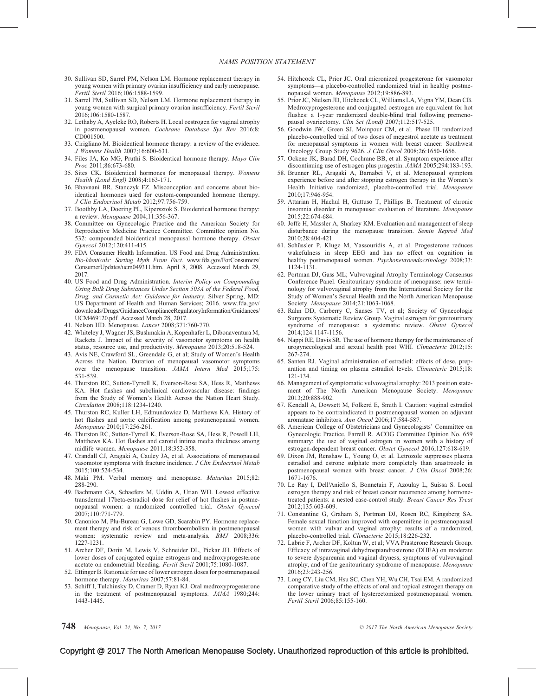- <span id="page-20-0"></span>30. Sullivan SD, Sarrel PM, Nelson LM. Hormone replacement therapy in young women with primary ovarian insufficiency and early menopause. Fertil Steril 2016;106:1588-1599.
- 31. Sarrel PM, Sullivan SD, Nelson LM. Hormone replacement therapy in young women with surgical primary ovarian insufficiency. Fertil Steril 2016;106:1580-1587.
- 32. Lethaby A, Ayeleke RO, Roberts H. Local oestrogen for vaginal atrophy in postmenopausal women. Cochrane Database Sys Rev 2016;8: CD001500.
- 33. Cirigliano M. Bioidentical hormone therapy: a review of the evidence. J Womens Health 2007;16:600-631.
- 34. Files JA, Ko MG, Pruthi S. Bioidentical hormone therapy. Mayo Clin Proc 2011;86:673-680.
- 35. Sites CK. Bioidentical hormones for menopausal therapy. Womens Health (Lond Engl) 2008;4:163-171.
- 36. Bhavnani BR, Stanczyk FZ. Misconception and concerns about bioidentical hormones used for custom-compounded hormone therapy. J Clin Endocrinol Metab 2012;97:756-759.
- 37. Boothby LA, Doering PL, Kipersztok S. Bioidentical hormone therapy: a review. Menopause 2004;11:356-367.
- 38. Committee on Gynecologic Practice and the American Society for Reproductive Medicine Practice Committee. Committee opinion No. 532: compounded bioidentical menopausal hormone therapy. Obstet Gynecol 2012;120:411-415.
- 39. FDA Consumer Health Information. US Food and Drug Administration. Bio-Identicals: Sorting Myth From Fact. [www.fda.gov/ForConsumers/](http://www.fda.gov/ForConsumers/ConsumerUpdates/ucm049311.htm) [ConsumerUpdates/ucm049311.htm.](http://www.fda.gov/ForConsumers/ConsumerUpdates/ucm049311.htm) April 8, 2008. Accessed March 29, 2017.
- 40. US Food and Drug Administration. Interim Policy on Compounding Using Bulk Drug Substances Under Section 503A of the Federal Food, Drug, and Cosmetic Act: Guidance for Industry. Silver Spring, MD: US Department of Health and Human Services; 2016. [www.fda.gov/](http://www.fda.gov/downloads/Drugs/GuidanceComplianceRegulatoryInformation/Guidances/UCM469120.pdf) [downloads/Drugs/GuidanceComplianceRegulatoryInformation/Guidances/](http://www.fda.gov/downloads/Drugs/GuidanceComplianceRegulatoryInformation/Guidances/UCM469120.pdf) [UCM469120.pdf.](http://www.fda.gov/downloads/Drugs/GuidanceComplianceRegulatoryInformation/Guidances/UCM469120.pdf) Accessed March 28, 2017.
- 41. Nelson HD. Menopause. Lancet 2008;371:760-770.
- 42. Whiteley J, Wagner JS, Bushmakin A, Kopenhafer L, Dibonaventura M, Racketa J. Impact of the severity of vasomotor symptoms on health status, resource use, and productivity. Menopause 2013;20:518-524.
- 43. Avis NE, Crawford SL, Greendale G, et al; Study of Women's Health Across the Nation. Duration of menopausal vasomotor symptoms over the menopause transition. JAMA Intern Med 2015;175: 531-539.
- 44. Thurston RC, Sutton-Tyrrell K, Everson-Rose SA, Hess R, Matthews KA. Hot flashes and subclinical cardiovascular disease: findings from the Study of Women's Health Across the Nation Heart Study. Circulation 2008;118:1234-1240.
- 45. Thurston RC, Kuller LH, Edmundowicz D, Matthews KA. History of hot flashes and aortic calcification among postmenopausal women. Menopause 2010;17:256-261.
- 46. Thurston RC, Sutton-Tyrrell K, Everson-Rose SA, Hess R, Powell LH, Matthews KA. Hot flashes and carotid intima media thickness among midlife women. Menopause 2011;18:352-358.
- 47. Crandall CJ, Aragaki A, Cauley JA, et al. Associations of menopausal vasomotor symptoms with fracture incidence. J Clin Endocrinol Metab 2015;100:524-534.
- 48. Maki PM. Verbal memory and menopause. Maturitas 2015;82: 288-290.
- 49. Bachmann GA, Schaefers M, Uddin A, Utian WH. Lowest effective transdermal 17beta-estradiol dose for relief of hot flushes in postmenopausal women: a randomized controlled trial. Obstet Gynecol 2007;110:771-779.
- 50. Canonico M, Plu-Bureau G, Lowe GD, Scarabin PY. Hormone replacement therapy and risk of venous thromboembolism in postmenopausal women: systematic review and meta-analysis. BMJ 2008;336: 1227-1231.
- 51. Archer DF, Dorin M, Lewis V, Schneider DL, Pickar JH. Effects of lower doses of conjugated equine estrogens and medroxyprogesterone acetate on endometrial bleeding. Fertil Steril 2001;75:1080-1087.
- 52. Ettinger B. Rationale for use of lower estrogen doses for postmenopausal hormone therapy. Maturitas 2007;57:81-84.
- 53. Schiff I, Tulchinsky D, Cramer D, Ryan KJ. Oral medroxyprogesterone in the treatment of postmenopausal symptoms. JAMA 1980;244: 1443-1445.
- 54. Hitchcock CL, Prior JC. Oral micronized progesterone for vasomotor symptoms—a placebo-controlled randomized trial in healthy postmenopausal women. Menopause 2012;19:886-893.
- 55. Prior JC, Nielsen JD, Hitchcock CL, Williams LA, Vigna YM, Dean CB. Medroxyprogesterone and conjugated oestrogen are equivalent for hot flushes: a 1-year randomized double-blind trial following premenopausal ovariectomy. Clin Sci (Lond) 2007;112:517-525.
- 56. Goodwin JW, Green SJ, Moinpour CM, et al. Phase III randomized placebo-controlled trial of two doses of megestrol acetate as treatment for menopausal symptoms in women with breast cancer: Southwest Oncology Group Study 9626. J Clin Oncol 2008;26:1650-1656.
- 57. Ockene JK, Barad DH, Cochrane BB, et al. Symptom experience after discontinuing use of estrogen plus progestin. JAMA 2005;294:183-193.
- 58. Brunner RL, Aragaki A, Barnabei V, et al. Menopausal symptom experience before and after stopping estrogen therapy in the Women's Health Initiative randomized, placebo-controlled trial. Menopause 2010;17:946-954.
- 59. Attarian H, Hachul H, Guttuso T, Phillips B. Treatment of chronic insomnia disorder in menopause: evaluation of literature. Menopause 2015;22:674-684.
- 60. Joffe H, Massler A, Sharkey KM. Evaluation and management of sleep disturbance during the menopause transition. Semin Reprod Med 2010;28:404-421.
- 61. Schüssler P, Kluge M, Yassouridis A, et al. Progesterone reduces wakefulness in sleep EEG and has no effect on cognition in healthy postmenopausal women. Psychoneuroendocrinology 2008;33: 1124-1131.
- 62. Portman DJ, Gass ML; Vulvovaginal Atrophy Terminology Consensus Conference Panel. Genitourinary syndrome of menopause: new terminology for vulvovaginal atrophy from the International Society for the Study of Women's Sexual Health and the North American Menopause Society. Menopause 2014;21:1063-1068.
- 63. Rahn DD, Carberry C, Sanses TV, et al; Society of Gynecologic Surgeons Systematic Review Group. Vaginal estrogen for genitourinary syndrome of menopause: a systematic review. Obstet Gynecol 2014;124:1147-1156.
- 64. Nappi RE, Davis SR. The use of hormone therapy for the maintenance of urogynecological and sexual health post WHI. Climacteric 2012;15: 267-274.
- 65. Santen RJ. Vaginal administration of estradiol: effects of dose, preparation and timing on plasma estradiol levels. Climacteric 2015;18: 121-134.
- 66. Management of symptomatic vulvovaginal atrophy: 2013 position statement of The North American Menopause Society. Menopause 2013;20:888-902.
- 67. Kendall A, Dowsett M, Folkerd E, Smith I. Caution: vaginal estradiol appears to be contraindicated in postmenopausal women on adjuvant aromatase inhibitors. Ann Oncol 2006;17:584-587.
- 68. American College of Obstetricians and Gynecologists' Committee on Gynecologic Practice, Farrell R. ACOG Committee Opinion No. 659 summary: the use of vaginal estrogen in women with a history of estrogen-dependent breast cancer. Obstet Gynecol 2016;127:618-619.
- 69. Dixon JM, Renshaw L, Young O, et al. Letrozole suppresses plasma estradiol and estrone sulphate more completely than anastrozole in postmenopausal women with breast cancer. J Clin Oncol 2008;26: 1671-1676.
- 70. Le Ray I, Dell'Aniello S, Bonnetain F, Azoulay L, Suissa S. Local estrogen therapy and risk of breast cancer recurrence among hormonetreated patients: a nested case-control study. Breast Cancer Res Treat 2012;135:603-609.
- 71. Constantine G, Graham S, Portman DJ, Rosen RC, Kingsberg SA. Female sexual function improved with ospemifene in postmenopausal women with vulvar and vaginal atrophy: results of a randomized, placebo-controlled trial. Climacteric 2015;18:226-232.
- 72. Labrie F, Archer DF, Koltun W, et al; VVA Prasterone Research Group. Efficacy of intravaginal dehydroepiandrosterone (DHEA) on moderate to severe dyspareunia and vaginal dryness, symptoms of vulvovaginal atrophy, and of the genitourinary syndrome of menopause. Menopause 2016;23:243-256.
- 73. Long CY, Liu CM, Hsu SC, Chen YH, Wu CH, Tsai EM. A randomized comparative study of the effects of oral and topical estrogen therapy on the lower urinary tract of hysterectomized postmenopausal women. Fertil Steril 2006;85:155-160.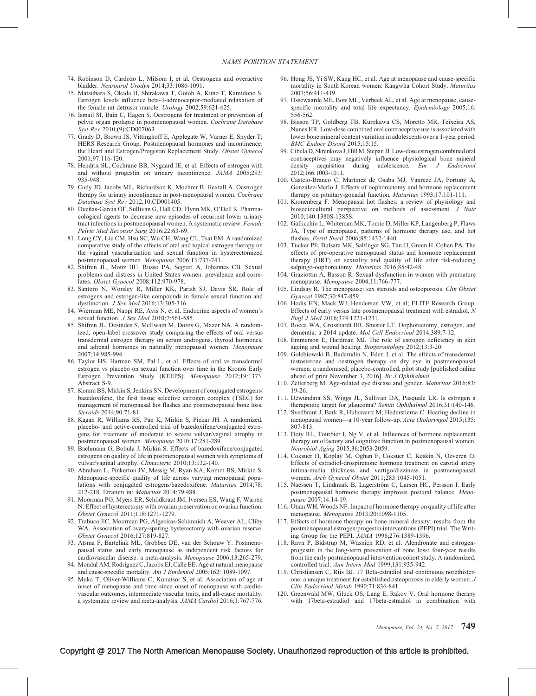- <span id="page-21-0"></span>74. Robinson D, Cardozo L, Milsom I, et al. Oestrogens and overactive bladder. Neurourol Urodyn 2014;33:1086-1091.
- 75. Matsubara S, Okada H, Shirakawa T, Gotoh A, Kuno T, Kamidono S. Estrogen levels influence beta-3-adrenoceptor-mediated relaxation of the female rat detrusor muscle. Urology 2002;59:621-625.
- 76. Ismail SI, Bain C, Hagen S. Oestrogens for treatment or prevention of pelvic organ prolapse in postmenopausal women. Cochrane Database Syst Rev 2010;(9):CD007063.
- 77. Grady D, Brown JS, Vittinghoff E, Applegate W, Varner E, Snyder T; HERS Research Group. Postmenopausal hormones and incontinence: the Heart and Estrogen/Progestin Replacement Study. Obstet Gynecol 2001;97:116-120.
- 78. Hendrix SL, Cochrane BB, Nygaard IE, et al. Effects of estrogen with and without progestin on urinary incontinence. JAMA 2005;293: 935-948.
- 79. Cody JD, Jacobs ML, Richardson K, Moehrer B, Hextall A. Oestrogen therapy for urinary incontinence in post-menopausal women. Cochrane Database Syst Rev 2012;10:CD001405.
- 80. Dueñas-Garcia OF, Sullivan G, Hall CD, Flynn MK, O'Dell K. Pharmacological agents to decrease new episodes of recurrent lower urinary tract infections in postmenopausal women. A systematic review. Female Pelvic Med Reconstr Surg 2016;22:63-69.
- 81. Long CY, Liu CM, Hsu SC, Wu CH, Wang CL, Tsai EM. A randomized comparative study of the effects of oral and topical estrogen therapy on the vaginal vascularization and sexual function in hysterectomized postmenopausal women. Menopause 2006;13:737-743.
- 82. Shifren JL, Monz BU, Russo PA, Segreti A, Johannes CB. Sexual problems and distress in United States women: prevalence and correlates. Obstet Gynecol 2008;112:970-978.
- 83. Santoro N, Worsley R, Miller KK, Parish SJ, Davis SR. Role of estrogens and estrogen-like compounds in female sexual function and dysfunction. J Sex Med 2016;13:305-316.
- 84. Wierman ME, Nappi RE, Avis N, et al. Endocrine aspects of women's sexual function.  $\hat{J}$  Sex Med 2010;7:561-585.
- 85. Shifren JL, Desindes S, McIlwain M, Doros G, Mazer NA. A randomized, open-label crossover study comparing the effects of oral versus transdermal estrogen therapy on serum androgens, thyroid hormones, and adrenal hormones in naturally menopausal women. Menopause 2007;14:985-994.
- 86. Taylor HS, Harman SM, Pal L, et al. Effects of oral vs transdermal estrogen vs placebo on sexual function over time in the Kronos Early Estrogen Prevention Study (KEEPS). Menopause 2012;19:1373. Abstract S-9.
- 87. Komm BS, Mirkin S, Jenkins SN. Development of conjugated estrogens/ bazedoxifene, the first tissue selective estrogen complex (TSEC) for management of menopausal hot flashes and postmenopausal bone loss. Steroids 2014;90:71-81.
- 88. Kagan R, Williams RS, Pan K, Mirkin S, Pickar JH. A randomized, placebo- and active-controlled trial of bazedoxifene/conjugated estrogens for treatment of moderate to severe vulvar/vaginal atrophy in postmenopausal women. Menopause 2010;17:281-289.
- 89. Bachmann G, Bobula J, Mirkin S. Effects of bazedoxifene/conjugated estrogens on quality of life in postmenopausal women with symptoms of vulvar/vaginal atrophy. Climacteric 2010;13:132-140.
- 90. Abraham L, Pinkerton JV, Messig M, Ryan KA, Komm BS, Mirkin S. Menopause-specific quality of life across varying menopausal populations with conjugated estrogens/bazedoxifene. Maturitas 2014;78: 212-218. Erratum in: Maturitas 2014;79:488.
- 91. Moorman PG, Myers ER, Schildkraut JM, Iversen ES, Wang F, Warren N. Effect of hysterectomy with ovarian preservation on ovarian function. Obstet Gynecol 2011;118:1271-1279.
- 92. Trabuco EC, Moorman PG, Algeciras-Schimnich A, Weaver AL, Cliby WA. Association of ovary-sparing hysterectomy with ovarian reserve. Obstet Gynecol 2016;127:819-827.
- 93. Atsma F, Bartelink ML, Grobbee DE, van der Schouw Y. Postmenopausal status and early menopause as independent risk factors for cardiovascular disease: a meta-analysis. Menopause 2006;13:265-279.
- 94. Mondul AM, Rodriguez C, Jacobs EJ, Calle EE. Age at natural menopause and cause-specific mortality. Am J Epidemiol 2005;162: 1089-1097.
- 95. Muka T, Oliver-Williams C, Kunutsor S, et al. Association of age at onset of menopause and time since onset of menopause with cardiovascular outcomes, intermediate vascular traits, and all-cause mortality: a systematic review and meta-analysis. JAMA Cardiol 2016;1:767-776.
- 96. Hong JS, Yi SW, Kang HC, et al. Age at menopause and cause-specific mortality in South Korean women: Kangwha Cohort Study. Maturitas 2007;56:411-419.
- 97. Ossewaarde ME, Bots ML, Verbeek AL, et al. Age at menopause, causespecific mortality and total life expectancy. Epidemiology 2005;16: 556-562.
- 98. Biason TP, Goldberg TB, Kurokawa CS, Moretto MR, Teixeira AS, Nunes HR. Low-dose combined oral contraceptive use is associated with lower bone mineral content variation in adolescents over a 1-year period. BMC Endocr Disord 2015;15:15.
- 99. Cibula D, Skrenkova J, Hill M, Stepan JJ. Low-dose estrogen combined oral contraceptives may negatively influence physiological bone mineral density acquisition during adolescence. Eur J Endocrinol 2012;166:1003-1011.
- 100. Castelo-Branco C, Martinez de Osaba MJ, Vanrezc JA, Fortuny A, González-Merlo J. Effects of oophorectomy and hormone replacement therapy on pituitary-gonadal function. Maturitas 1993;17:101-111.
- 101. Kronenberg F. Menopausal hot flashes: a review of physiology and biosociocultural perspective on methods of assessment. J Nutr 2010;140:1380S-1385S.
- 102. Gallicchio L, Whiteman MK, Tomic D, Miller KP, Langenberg P, Flaws JA. Type of menopause, patterns of hormone therapy use, and hot flashes. Fertil Steril 2006;85:1432-1440.
- 103. Tucker PE, Bulsara MK, Salfinger SG, Tan JJ, Green H, Cohen PA. The effects of pre-operative menopausal status and hormone replacement therapy (HRT) on sexuality and quality of life after risk-reducing salpingo-oophorectomy. Maturitas 2016;85:42-48.
- 104. Graziottin A, Basson R. Sexual dysfunction in women with premature menopause. Menopause 2004;11:766-777.
- 105. Lindsay R. The menopause: sex steroids and osteoporosis. Clin Obstet Gynecol 1987;30:847-859.
- 106. Hodis HN, Mack WJ, Henderson VW, et al; ELITE Research Group. Effects of early versus late postmenopausal treatment with estradiol. N Engl J Med 2016;374:1221-1231.
- 107. Rocca WA, Grosshardt BR, Shuster LT. Oophorectomy, estrogen, and dementia: a 2014 update. Mol Cell Endocrinol 2014;389:7-12.
- 108. Emmerson E, Hardman MJ. The role of estrogen deficiency in skin ageing and wound healing. Biogerontology 2012;13:3-20.
- 109. Golebiowski B, Badarudin N, Eden J, et al. The effects of transdermal testosterone and oestrogen therapy on dry eye in postmenopausal women: a randomised, placebo-controlled, pilot study [published online ahead of print November 3, 2016]. Br J Ophthalmol.
- 110. Zetterberg M. Age-related eye disease and gender. Maturitas 2016;83: 19-26.
- 111. Dewundara SS, Wiggs JL, Sullivan DA, Pasquale LR. Is estrogen a therapeutic target for glaucoma? Semin Ophthalmol 2016;31:140-146.
- 112. Svedbrant J, Bark R, Hultcrantz M, Hederstierna C. Hearing decline in menopausal women—a 10-year follow-up. Acta Otolaryngol 2015;135: 807-813.
- 113. Doty RL, Tourbier I, Ng V, et al. Influences of hormone replacement therapy on olfactory and cognitive function in postmenopausal women. Neurobiol Aging 2015;36:2053-2059.
- 114. Coksuer H, Koplay M, Oghan F, Coksuer C, Keskin N, Ozveren O. Effects of estradiol-drospirenone hormone treatment on carotid artery intima-media thickness and vertigo/dizziness in postmenopausal women. Arch Gynecol Obstet 2011;283:1045-1051.
- 115. Naessen T, Lindmark B, Lagerström C, Larsen HC, Persson I. Early postmenopausal hormone therapy improves postural balance. Menopause 2007;14:14-19.
- 116. Utian WH, Woods NF. Impact of hormone therapy on quality of life after menopause. Menopause 2013;20:1098-1105.
- 117. Effects of hormone therapy on bone mineral density: results from the postmenopausal estrogen/progestin interventions (PEPI) trial. The Writing Group for the PEPI. JAMA 1996;276:1389-1396.
- 118. Ravn P, Bidstrup M, Wasnich RD, et al. Alendronate and estrogenprogestin in the long-term prevention of bone loss: four-year results from the early postmenopausal intervention cohort study. A randomized, controlled trial. Ann Intern Med 1999;131:935-942.
- 119. Christiansen C, Riis BJ. 17 Beta-estradiol and continuous norethisterone: a unique treatment for established osteoporosis in elderly women. J Clin Endocrinol Metab 1990;71:836-841.
- 120. Greenwald MW, Gluck OS, Lang E, Rakov V. Oral hormone therapy with 17beta-estradiol and 17beta-estradiol in combination with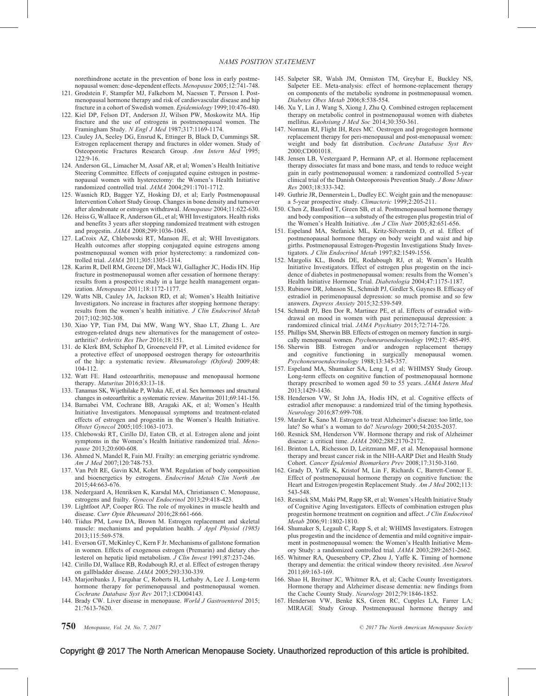<span id="page-22-0"></span>norethindrone acetate in the prevention of bone loss in early postmenopausal women: dose-dependent effects. Menopause 2005;12:741-748.

- 121. Grodstein F, Stampfer MJ, Falkeborn M, Naessen T, Persson I. Postmenopausal hormone therapy and risk of cardiovascular disease and hip fracture in a cohort of Swedish women. Epidemiology 1999;10:476-480.
- 122. Kiel DP, Felson DT, Anderson JJ, Wilson PW, Moskowitz MA. Hip fracture and the use of estrogens in postmenopausal women. The Framingham Study. N Engl J Med 1987;317:1169-1174.
- 123. Cauley JA, Seeley DG, Ensrud K, Ettinger B, Black D, Cummings SR. Estrogen replacement therapy and fractures in older women. Study of Osteoporotic Fractures Research Group. Ann Intern Med 1995; 122:9-16.
- 124. Anderson GL, Limacher M, Assaf AR, et al; Women's Health Initiative Steering Committee. Effects of conjugated equine estrogen in postmenopausal women with hysterectomy: the Women's Health Initiative randomized controlled trial. JAMA 2004;291:1701-1712.
- 125. Wasnich RD, Bagger YZ, Hosking DJ, et al; Early Postmenopausal Intervention Cohort Study Group. Changes in bone density and turnover after alendronate or estrogen withdrawal. Menopause 2004;11:622-630.
- 126. Heiss G, Wallace R, Anderson GL, et al; WHI Investigators. Health risks and benefits 3 years after stopping randomized treatment with estrogen and progestin. JAMA 2008;299:1036-1045.
- 127. LaCroix AZ, Chlebowski RT, Manson JE, et al; WHI Investigators. Health outcomes after stopping conjugated equine estrogens among postmenopausal women with prior hysterectomy: a randomized controlled trial. JAMA 2011;305:1305-1314.
- 128. Karim R, Dell RM, Greene DF, Mack WJ, Gallagher JC, Hodis HN. Hip fracture in postmenopausal women after cessation of hormone therapy: results from a prospective study in a large health management organization. Menopause 2011;18:1172-1177.
- 129. Watts NB, Cauley JA, Jackson RD, et al; Women's Health Initiative Investigators. No increase in fractures after stopping hormone therapy: results from the women's health initiative. J Clin Endocrinol Metab 2017;102:302-308.
- 130. Xiao YP, Tian FM, Dai MW, Wang WY, Shao LT, Zhang L. Are estrogen-related drugs new alternatives for the management of osteoarthritis? Arthritis Res Ther 2016;18:151.
- 131. de Klerk BM, Schiphof D, Groeneveld FP, et al. Limited evidence for a protective effect of unopposed oestrogen therapy for osteoarthritis of the hip: a systematic review. Rheumatology (Oxford) 2009;48: 104-112.
- 132. Watt FE. Hand osteoarthritis, menopause and menopausal hormone therapy. Maturitas 2016;83:13-18.
- 133. Tanamas SK, Wijethilake P, Wluka AE, et al. Sex hormones and structural changes in osteoarthritis: a systematic review. Maturitas 2011;69:141-156.
- 134. Barnabei VM, Cochrane BB, Aragaki AK, et al; Women's Health Initiative Investigators. Menopausal symptoms and treatment-related effects of estrogen and progestin in the Women's Health Initiative. Obstet Gynecol 2005;105:1063-1073.
- 135. Chlebowski RT, Cirillo DJ, Eaton CB, et al. Estrogen alone and joint symptoms in the Women's Health Initiative randomized trial. Menopause 2013;20:600-608.
- 136. Ahmed N, Mandel R, Fain MJ. Frailty: an emerging geriatric syndrome. Am J Med 2007;120:748-753.
- 137. Van Pelt RE, Gavin KM, Kohrt WM. Regulation of body composition and bioenergetics by estrogens. Endocrinol Metab Clin North Am 2015;44:663-676.
- 138. Nedergaard A, Henriksen K, Karsdal MA, Christiansen C. Menopause, estrogens and frailty. Gynecol Endocrinol 2013;29:418-423.
- 139. Lightfoot AP, Cooper RG. The role of myokines in muscle health and disease. Curr Opin Rheumatol 2016;28:661-666.
- 140. Tiidus PM, Lowe DA, Brown M. Estrogen replacement and skeletal muscle: mechanisms and population health. J Appl Physiol (1985) 2013;115:569-578.
- 141. Everson GT, McKinley C, Kern F Jr. Mechanisms of gallstone formation in women. Effects of exogenous estrogen (Premarin) and dietary cholesterol on hepatic lipid metabolism. J Clin Invest 1991;87:237-246.
- 142. Cirillo DJ, Wallace RB, Rodabough RJ, et al. Effect of estrogen therapy on gallbladder disease. JAMA 2005;293:330-339.
- 143. Marjoribanks J, Farquhar C, Roberts H, Lethaby A, Lee J. Long-term hormone therapy for perimenopausal and postmenopausal women. Cochrane Database Syst Rev 2017;1:CD004143.
- 144. Brady CW. Liver disease in menopause. World J Gastroenterol 2015; 21:7613-7620.
- 145. Salpeter SR, Walsh JM, Ormiston TM, Greybar E, Buckley NS, Salpeter EE. Meta-analysis: effect of hormone-replacement therapy on components of the metabolic syndrome in postmenopausal women. Diabetes Obes Metab 2006;8:538-554.
- 146. Xu Y, Lin J, Wang S, Xiong J, Zhu Q. Combined estrogen replacement therapy on metabolic control in postmenopausal women with diabetes mellitus. Kaohsiung J Med Soc 2014;30:350-361.
- 147. Norman RJ, Flight IH, Rees MC. Oestrogen and progestogen hormone replacement therapy for peri-menopausal and post-menopausal women: weight and body fat distribution. Cochrane Database Syst Rev 2000;CD001018.
- 148. Jensen LB, Vestergaard P, Hermann AP, et al. Hormone replacement therapy dissociates fat mass and bone mass, and tends to reduce weight gain in early postmenopausal women: a randomized controlled 5-year clinical trial of the Danish Osteoporosis Prevention Study. J Bone Miner Res 2003;18:333-342.
- 149. Guthrie JR, Dennerstein L, Dudley EC. Weight gain and the menopause: a 5-year prospective study. Climacteric 1999;2:205-211.
- 150. Chen Z, Bassford T, Green SB, et al. Postmenopausal hormone therapy and body composition—a substudy of the estrogen plus progestin trial of the Women's Health Initiative. Am J Clin Nutr 2005;82:651-656.
- 151. Espeland MA, Stefanick ML, Kritz-Silverstein D, et al. Effect of postmenopausal hormone therapy on body weight and waist and hip girths. Postmenopausal Estrogen-Progestin Investigations Study Investigators. J Clin Endocrinol Metab 1997;82:1549-1556.
- 152. Margolis KL, Bonds DE, Rodabough RJ, et al; Women's Health Initiative Investigators. Effect of estrogen plus progestin on the incidence of diabetes in postmenopausal women: results from the Women's Health Initiative Hormone Trial. Diabetologia 2004;47:1175-1187.
- 153. Rubinow DR, Johnson SL, Schmidt PJ, Girdler S, Gaynes B. Efficacy of estradiol in perimenopausal depression: so much promise and so few answers. Depress Anxiety 2015;32:539-549.
- 154. Schmidt PJ, Ben Dor R, Martinez PE, et al. Effects of estradiol withdrawal on mood in women with past perimenopausal depression: a randomized clinical trial. JAMA Psychiatry 2015;72:714-726.
- 155. Phillips SM, Sherwin BB. Effects of estrogen on memory function in surgically menopausal women. Psychoneuroendocrinology 1992;17: 485-495.
- 156. Sherwin BB. Estrogen and/or androgen replacement therapy and cognitive functioning in surgically menopausal women. Psychoneuroendocrinology 1988;13:345-357.
- 157. Espeland MA, Shumaker SA, Leng I, et al; WHIMSY Study Group. Long-term effects on cognitive function of postmenopausal hormone therapy prescribed to women aged 50 to 55 years. JAMA Intern Med 2013;1429-1436.
- 158. Henderson VW, St John JA, Hodis HN, et al. Cognitive effects of estradiol after menopause: a randomized trial of the timing hypothesis. Neurology 2016;87:699-708.
- 159. Marder K, Sano M. Estrogen to treat Alzheimer's disease: too little, too late? So what's a woman to do? Neurology 2000;54:2035-2037.
- 160. Resnick SM, Henderson VW. Hormone therapy and risk of Alzheimer disease: a critical time. JAMA 2002;288:2170-2172.
- 161. Brinton LA, Richesson D, Leitzmann MF, et al. Menopausal hormone therapy and breast cancer risk in the NIH-AARP Diet and Health Study Cohort. Cancer Epidemiol Biomarkers Prev 2008;17:3150-3160.
- 162. Grady D, Yaffe K, Kristof M, Lin F, Richards C, Barrett-Connor E. Effect of postmenopausal hormone therapy on cognitive function: the Heart and Estrogen/progestin Replacement Study. Am J Med 2002;113: 543-548.
- 163. Resnick SM, Maki PM, Rapp SR, et al; Women's Health Initiative Study of Cognitive Aging Investigators. Effects of combination estrogen plus progestin hormone treatment on cognition and affect. J Clin Endocrinol Metab 2006;91:1802-1810.
- 164. Shumaker S, Legault C, Rapp S, et al; WHIMS Investigators. Estrogen plus progestin and the incidence of dementia and mild cognitive impairment in postmenopausal women: the Women's Health Initiative Memory Study: a randomized controlled trial. JAMA 2003;289:2651-2662.
- 165. Whitmer RA, Quesenberry CP, Zhou J, Yaffe K. Timing of hormone therapy and dementia: the critical window theory revisited. Ann Neurol 2011;69:163-169.
- 166. Shao H, Breitner JC, Whitmer RA, et al; Cache County Investigators. Hormone therapy and Alzheimer disease dementia: new findings from the Cache County Study. Neurology 2012;79:1846-1852.
- 167. Henderson VW, Benke KS, Green RC, Cupples LA, Farrer LA; MIRAGE Study Group. Postmenopausal hormone therapy and

 $750$  Menopause, Vol. 24, No. 7, 2017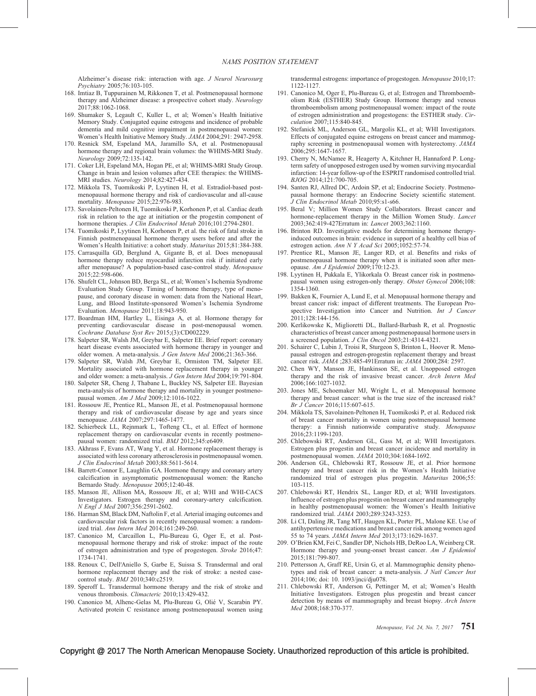<span id="page-23-0"></span>Alzheimer's disease risk: interaction with age. J Neurol Neurosurg Psychiatry 2005;76:103-105.

- 168. Imtiaz B, Tuppurainen M, Rikkonen T, et al. Postmenopausal hormone therapy and Alzheimer disease: a prospective cohort study. Neurology 2017;88:1062-1068.
- 169. Shumaker S, Legault C, Kuller L, et al; Women's Health Initiative Memory Study. Conjugated equine estrogens and incidence of probable dementia and mild cognitive impairment in postmenopausal women: Women's Health Initiative Memory Study. JAMA 2004;291: 2947-2958.
- 170. Resnick SM, Espeland MA, Jaramillo SA, et al. Postmenopausal hormone therapy and regional brain volumes: the WHIMS-MRI Study. Neurology 2009;72:135-142.
- 171. Coker LH, Espeland MA, Hogan PE, et al; WHIMS-MRI Study Group. Change in brain and lesion volumes after CEE therapies: the WHIMS-MRI studies. Neurology 2014;82:427-434.
- 172. Mikkola TS, Tuomikoski P, Lyytinen H, et al. Estradiol-based postmenopausal hormone therapy and risk of cardiovascular and all-cause mortality. Menopause 2015;22:976-983.
- 173. Savolainen-Peltonen H, Tuomikoski P, Korhonen P, et al. Cardiac death risk in relation to the age at initiation or the progestin component of hormone therapies. J Clin Endocrinol Metab 2016;101:2794-2801.
- 174. Tuomikoski P, Lyytinen H, Korhonen P, et al. the risk of fatal stroke in Finnish postmenopausal hormone therapy users before and after the Women's Health Initiative: a cohort study. Maturitas 2015;81:384-388.
- 175. Carrasquilla GD, Berglund A, Gigante B, et al. Does menopausal hormone therapy reduce myocardial infarction risk if initiated early after menopause? A population-based case-control study. Menopause 2015;22:598-606.
- 176. Shufelt CL, Johnson BD, Berga SL, et al; Women's Ischemia Syndrome Evaluation Study Group. Timing of hormone therapy, type of menopause, and coronary disease in women: data from the National Heart, Lung, and Blood Institute-sponsored Women's Ischemia Syndrome Evaluation. Menopause 2011;18:943-950.
- 177. Boardman HM, Hartley L, Eisinga A, et al. Hormone therapy for preventing cardiovascular disease in post-menopausal women. Cochrane Database Syst Rev 2015;(3):CD002229.
- 178. Salpeter SR, Walsh JM, Greybar E, Salpeter EE. Brief report: coronary heart disease events associated with hormone therapy in younger and older women. A meta-analysis. J Gen Intern Med 2006;21:363-366.
- 179. Salpeter SR, Walsh JM, Greybar E, Ormiston TM, Salpeter EE. Mortality associated with hormone replacement therapy in younger and older women: a meta-analysis. J Gen Intern Med 2004;19:791-804.
- 180. Salpeter SR, Cheng J, Thabane L, Buckley NS, Salpeter EE. Bayesian meta-analysis of hormone therapy and mortality in younger postmenopausal women. Am J Med 2009;12:1016-1022.
- 181. Rossouw JE, Prentice RL, Manson JE, et al. Postmenopausal hormone therapy and risk of cardiovascular disease by age and years since menopause. JAMA 2007;297:1465-1477.
- 182. Schierbeck LL, Rejnmark L, Tofteng CL, et al. Effect of hormone replacement therapy on cardiovascular events in recently postmenopausal women: randomized trial. BMJ 2012;345:e6409.
- 183. Akhrass F, Evans AT, Wang Y, et al. Hormone replacement therapy is associated with less coronary atherosclerosis in postmenopausal women. J Clin Endocrinol Metab 2003;88:5611-5614.
- 184. Barrett-Connor E, Laughlin GA. Hormone therapy and coronary artery calcification in asymptomatic postmenopausal women: the Rancho Bernardo Study. Menopause 2005;12:40-48.
- 185. Manson JE, Allison MA, Rossouw JE, et al; WHI and WHI-CACS Investigators. Estrogen therapy and coronary-artery calcification. N Engl J Med 2007;356:2591-2602.
- 186. Harman SM, Black DM, Naftolin F, et al. Arterial imaging outcomes and cardiovascular risk factors in recently menopausal women: a randomized trial. Ann Intern Med 2014;161:249-260.
- 187. Canonico M, Carcaillon L, Plu-Bureau G, Oger E, et al. Postmenopausal hormone therapy and risk of stroke: impact of the route of estrogen administration and type of progestogen. Stroke 2016;47: 1734-1741.
- 188. Renoux C, Dell'Aniello S, Garbe E, Suissa S. Transdermal and oral hormone replacement therapy and the risk of stroke: a nested casecontrol study. BMJ 2010;340:c2519.
- 189. Speroff L. Transdermal hormone therapy and the risk of stroke and venous thrombosis. Climacteric 2010;13:429-432.
- 190. Canonico M, Alhenc-Gelas M, Plu-Bureau G, Olie´ V, Scarabin PY. Activated protein C resistance among postmenopausal women using

transdermal estrogens: importance of progestogen. Menopause 2010;17: 1122-1127.

- 191. Canonico M, Oger E, Plu-Bureau G, et al; Estrogen and Thromboembolism Risk (ESTHER) Study Group. Hormone therapy and venous thromboembolism among postmenopausal women: impact of the route of estrogen administration and progestogens: the ESTHER study. Circulation 2007;115:840-845.
- 192. Stefanick ML, Anderson GL, Margolis KL, et al; WHI Investigators. Effects of conjugated equine estrogens on breast cancer and mammography screening in postmenopausal women with hysterectomy. JAMA 2006;295:1647-1657.
- 193. Cherry N, McNamee R, Heagerty A, Kitchner H, Hannaford P. Longterm safety of unopposed estrogen used by women surviving myocardial infarction: 14-year follow-up of the ESPRIT randomised controlled trial. BJOG 2014;121:700-705.
- 194. Santen RJ, Allred DC, Ardoin SP, et al; Endocrine Society. Postmenopausal hormone therapy: an Endocrine Society scientific statement. J Clin Endocrinol Metab 2010;95:s1-s66.
- 195. Beral V; Million Women Study Collaborators. Breast cancer and hormone-replacement therapy in the Million Women Study. Lancet 2003;362:419-427Erratum in: Lancet 2003;362:1160.
- 196. Brinton RD. Investigative models for determining hormone therapyinduced outcomes in brain: evidence in support of a healthy cell bias of estrogen action. Ann N Y Acad Sci 2005;1052:57-74.
- 197. Prentice RL, Manson JE, Langer RD, et al. Benefits and risks of postmenopausal hormone therapy when it is initiated soon after menopause.  $\overrightarrow{Am}$  J Epidemiol 2009;170:12-23.
- 198. Lyytinen H, Pukkala E, Ylikorkala O. Breast cancer risk in postmenopausal women using estrogen-only therapy. Obstet Gynecol 2006;108: 1354-1360.
- 199. Bakken K, Fournier A, Lund E, et al. Menopausal hormone therapy and breast cancer risk: impact of different treatments. The European Prospective Investigation into Cancer and Nutrition. Int J Cancer 2011;128:144-156.
- 200. Kerlikowske K, Miglioretti DL, Ballard-Barbash R, et al. Prognostic characteristics of breast cancer among postmenopausal hormone users in a screened population. J Clin Oncol  $2003;21:4314-4321$ .
- 201. Schairer C, Lubin J, Troisi R, Sturgeon S, Brinton L, Hoover R. Menopausal estrogen and estrogen-progestin replacement therapy and breast cancer risk. JAMA ;283:485-491Erratum in: JAMA 2000;284: 2597.
- 202. Chen WY, Manson JE, Hankinson SE, et al. Unopposed estrogen therapy and the risk of invasive breast cancer. Arch Intern Med 2006;166:1027-1032.
- 203. Jones ME, Schoemaker MJ, Wright L, et al. Menopausal hormone therapy and breast cancer: what is the true size of the increased risk? Br J Cancer 2016;115:607-615.
- 204. Mikkola TS, Savolainen-Peltonen H, Tuomikoski P, et al. Reduced risk of breast cancer mortality in women using postmenopausal hormone therapy: a Finnish nationwide comparative study. Menopause 2016;23:1199-1203.
- 205. Chlebowski RT, Anderson GL, Gass M, et al; WHI Investigators. Estrogen plus progestin and breast cancer incidence and mortality in postmenopausal women. JAMA 2010;304:1684-1692.
- 206. Anderson GL, Chlebowski RT, Rossouw JE, et al. Prior hormone therapy and breast cancer risk in the Women's Health Initiative randomized trial of estrogen plus progestin. Maturitas 2006;55: 103-115.
- 207. Chlebowski RT, Hendrix SL, Langer RD, et al; WHI Investigators. Influence of estrogen plus progestin on breast cancer and mammography in healthy postmenopausal women: the Women's Health Initiative randomized trial. JAMA 2003;289:3243-3253.
- 208. Li CI, Daling JR, Tang MT, Haugen KL, Porter PL, Malone KE. Use of antihypertensive medications and breast cancer risk among women aged 55 to 74 years. JAMA Intern Med 2013;173:1629-1637.
- 209. O'Brien KM, Fei C, Sandler DP, Nichols HB, DeRoo LA, Weinberg CR. Hormone therapy and young-onset breast cancer. Am J Epidemiol 2015;181:799-807.
- 210. Pettersson A, Graff RE, Ursin G, et al. Mammographic density phenotypes and risk of breast cancer: a meta-analysis. J Natl Cancer Inst 2014;106; doi: 10. 1093/jnci/dju078.
- 211. Chlebowski RT, Anderson G, Pettinger M, et al; Women's Health Initiative Investigators. Estrogen plus progestin and breast cancer detection by means of mammography and breast biopsy. Arch Intern Med 2008;168:370-377.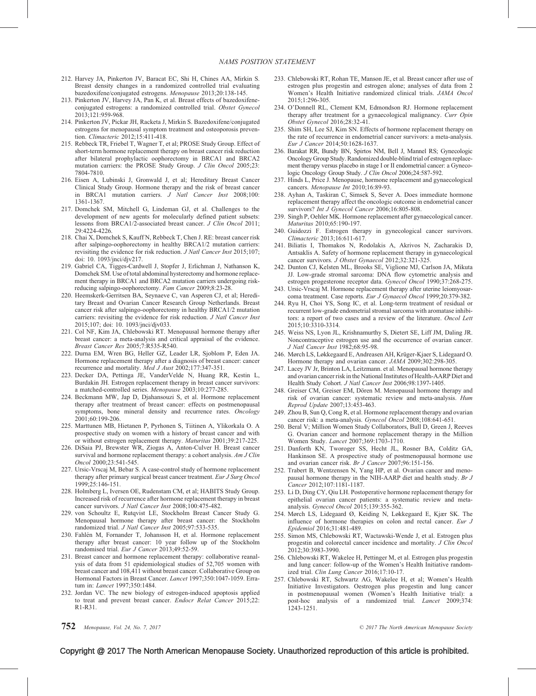- <span id="page-24-0"></span>212. Harvey JA, Pinkerton JV, Baracat EC, Shi H, Chines AA, Mirkin S. Breast density changes in a randomized controlled trial evaluating bazedoxifene/conjugated estrogens. Menopause 2013;20:138-145.
- 213. Pinkerton JV, Harvey JA, Pan K, et al. Breast effects of bazedoxifeneconjugated estrogens: a randomized controlled trial. Obstet Gynecol 2013;121:959-968.
- 214. Pinkerton JV, Pickar JH, Racketa J, Mirkin S. Bazedoxifene/conjugated estrogens for menopausal symptom treatment and osteoporosis prevention. Climacteric 2012;15:411-418.
- 215. Rebbeck TR, Friebel T, Wagner T, et al; PROSE Study Group. Effect of short-term hormone replacement therapy on breast cancer risk reduction after bilateral prophylactic oophorectomy in BRCA1 and BRCA2 mutation carriers: the PROSE Study Group. J Clin Oncol 2005;23: 7804-7810.
- 216. Eisen A, Lubinski J, Gronwald J, et al; Hereditary Breast Cancer Clinical Study Group. Hormone therapy and the risk of breast cancer in BRCA1 mutation carriers. J Natl Cancer Inst 2008;100: 1361-1367.
- 217. Domchek SM, Mitchell G, Lindeman GJ, et al. Challenges to the development of new agents for molecularly defined patient subsets: lessons from BRCA1/2-associated breast cancer. J Clin Oncol 2011; 29:4224-4226.
- 218. Chai X, Domchek S, Kauff N, Rebbeck T, Chen J. RE: breast cancer risk after salpingo-oophorectomy in healthy BRCA1/2 mutation carriers: revisiting the evidence for risk reduction. J Natl Cancer Inst 2015;107; doi: 10. 1093/jnci/djv217.
- 219. Gabriel CA, Tigges-Cardwell J, Stopfer J, Erlichman J, Nathanson K, Domchek SM. Use of total abdominal hysterectomy and hormone replacement therapy in BRCA1 and BRCA2 mutation carriers undergoing riskreducing salpingo-oophorectomy. Fam Cancer 2009;8:23-28.
- 220. Heemskerk-Gerritsen BA, Seynaeve C, van Asperen CJ, et al; Hereditary Breast and Ovarian Cancer Research Group Netherlands. Breast cancer risk after salpingo-oophorectomy in healthy BRCA1/2 mutation carriers: revisiting the evidence for risk reduction. J Natl Cancer Inst 2015;107; doi: 10. 1093/jnci/djv033.
- 221. Col NF, Kim JA, Chlebowski RT. Menopausal hormone therapy after breast cancer: a meta-analysis and critical appraisal of the evidence. Breast Cancer Res 2005;7:R535-R540.
- 222. Durna EM, Wren BG, Heller GZ, Leader LR, Sjoblom P, Eden JA. Hormone replacement therapy after a diagnosis of breast cancer: cancer recurrence and mortality. Med J Aust 2002;177:347-351.
- 223. Decker DA, Pettinga JE, VanderVelde N, Huang RR, Kestin L, Burdakin JH. Estrogen replacement therapy in breast cancer survivors: a matched-controlled series. Menopause 2003;10:277-285.
- 224. Beckmann MW, Jap D, Djahansouzi S, et al. Hormone replacement therapy after treatment of breast cancer: effects on postmenopausal symptoms, bone mineral density and recurrence rates. Oncology 2001;60:199-206.
- 225. Marttunen MB, Hietanen P, Pyrhonen S, Tiitinen A, Ylikorkala O. A prospective study on women with a history of breast cancer and with or without estrogen replacement therapy. Maturitas 2001;39:217-225.
- 226. DiSaia PJ, Brewster WR, Ziogas A, Anton-Culver H. Breast cancer survival and hormone replacement therapy: a cohort analysis. Am J Clin Oncol 2000;23:541-545.
- 227. Ursic-Vrscaj M, Bebar S. A case-control study of hormone replacement therapy after primary surgical breast cancer treatment. Eur J Surg Oncol 1999;25:146-151.
- 228. Holmberg L, Iversen OE, Rudenstam CM, et al; HABITS Study Group. Increased risk of recurrence after hormone replacement therapy in breast cancer survivors. J Natl Cancer Inst 2008;100:475-482.
- 229. von Schoultz E, Rutqvist LE, Stockholm Breast Cancer Study G. Menopausal hormone therapy after breast cancer: the Stockholm randomized trial. J Natl Cancer Inst 2005;97:533-535.
- 230. Fahlén M, Fornander T, Johansson H, et al. Hormone replacement therapy after breast cancer: 10 year follow up of the Stockholm randomised trial. Eur J Cancer 2013;49:52-59.
- 231. Breast cancer and hormone replacement therapy: collaborative reanalysis of data from 51 epidemiological studies of 52,705 women with breast cancer and 108,411 without breast cancer. Collaborative Group on Hormonal Factors in Breast Cancer. Lancet 1997;350:1047-1059. Erratum in: Lancet 1997;350:1484.
- 232. Jordan VC. The new biology of estrogen-induced apoptosis applied to treat and prevent breast cancer. Endocr Relat Cancer 2015;22: R1-R31.
- 233. Chlebowski RT, Rohan TE, Manson JE, et al. Breast cancer after use of estrogen plus progestin and estrogen alone; analyses of data from 2 Women's Health Initiative randomized clinical trials. JAMA Oncol 2015;1:296-305.
- 234. O'Donnell RL, Clement KM, Edmondson RJ. Hormone replacement therapy after treatment for a gynaecological malignancy. Curr Opin Obstet Gynecol 2016;28:32-41.
- 235. Shim SH, Lee SJ, Kim SN. Effects of hormone replacement therapy on the rate of recurrence in endometrial cancer survivors: a meta-analysis. Eur J Cancer 2014;50:1628-1637.
- 236. Barakat RR, Bundy BN, Spirtos NM, Bell J, Mannel RS; Gynecologic Oncology Group Study. Randomized double-blind trial of estrogen replacement therapy versus placebo in stage I or II endometrial cancer: a Gynecologic Oncology Group Study. J Clin Oncol 2006;24:587-592.
- 237. Hinds L, Price J. Menopause, hormone replacement and gynaecological cancers. Menopause Int 2010;16:89-93.
- 238. Ayhan A, Taskiran C, Simsek S, Sever A. Does immediate hormone replacement therapy affect the oncologic outcome in endometrial cancer survivors? Int J Gynecol Cancer 2006;16:805-808.
- 239. Singh P, Oehler MK. Hormone replacement after gynaecological cancer. Maturitas 2010;65:190-197.
- 240. Guidozzi F. Estrogen therapy in gynecological cancer survivors. Climacteric 2013;16:611-617.
- 241. Biliatis I, Thomakos N, Rodolakis A, Akrivos N, Zacharakis D, Antsaklis A. Safety of hormone replacement therapy in gynaecological cancer survivors. J Obstet Gynaecol 2012;32:321-325.
- 242. Dunton CJ, Kelsten ML, Brooks SE, Viglione MJ, Carlson JA, Mikuta JJ. Low-grade stromal sarcoma: DNA flow cytometric analysis and estrogen progesterone receptor data. Gynecol Oncol 1990;37:268-275.
- 243. Ursic-Vrscaj M. Hormone replacement therapy after uterine leiomyosarcoma treatment. Case reports. Eur J Gynaecol Oncol 1999;20:379-382.
- 244. Ryu H, Choi YS, Song IC, et al. Long-term treatment of residual or recurrent low-grade endometrial stromal sarcoma with aromatase inhibitors: a report of two cases and a review of the literature. Oncol Lett 2015;10:3310-3314.
- 245. Weiss NS, Lyon JL, Krishnamurthy S, Dietert SE, Liff JM, Daling JR. Noncontraceptive estrogen use and the occurrence of ovarian cancer. J Natl Cancer Inst 1982;68:95-98.
- 246. Mørch LS, Løkkegaard E, Andreasen AH, Krüger-Kjaer S, Lidegaard O. Hormone therapy and ovarian cancer. JAMA 2009;302:298-305.
- 247. Lacey JV Jr, Brinton LA, Leitzmann. et al. Menopausal hormone therapy and ovarian cancer risk in the National Institutes of Health-AARP Diet and Health Study Cohort. J Natl Cancer Inst 2006;98:1397-1405.
- 248. Greiser CM, Greiser EM, Dören M. Menopausal hormone therapy and risk of ovarian cancer: systematic review and meta-analysis. Hum Reprod Update 2007;13:453-463.
- 249. Zhou B, Sun Q, Cong R, et al. Hormone replacement therapy and ovarian cancer risk: a meta-analysis. Gynecol Oncol 2008;108:641-651.
- 250. Beral V; Million Women Study Collaborators, Bull D, Green J, Reeves G. Ovarian cancer and hormone replacement therapy in the Million Women Study. Lancet 2007;369:1703-1710.
- 251. Danforth KN, Tworoger SS, Hecht JL, Rosner BA, Colditz GA, Hankinson SE. A prospective study of postmenopausal hormone use and ovarian cancer risk. Br J Cancer 2007;96:151-156.
- 252. Trabert B, Wentzensen N, Yang HP, et al. Ovarian cancer and menopausal hormone therapy in the NIH-AARP diet and health study. Br J Cancer 2012;107:1181-1187.
- 253. Li D, Ding CY, Qiu LH. Postoperative hormone replacement therapy for epithelial ovarian cancer patients: a systematic review and metaanalysis. Gynecol Oncol 2015;139:355-362.
- 254. Mørch LS, Lidegaard Ø, Keiding N, Løkkegaard E, Kjær SK. The influence of hormone therapies on colon and rectal cancer. Eur J Epidemiol 2016;31:481-489.
- 255. Simon MS, Chlebowski RT, Wactawski-Wende J, et al. Estrogen plus progestin and colorectal cancer incidence and mortality. J Clin Oncol 2012;30:3983-3990.
- 256. Chlebowski RT, Wakelee H, Pettinger M, et al. Estrogen plus progestin and lung cancer: follow-up of the Women's Health Initiative randomized trial. Clin Lung Cancer 2016;17:10-17.
- 257. Chlebowski RT, Schwartz AG, Wakelee H, et al; Women's Health Initiative Investigators. Oestrogen plus progestin and lung cancer in postmenopausal women (Women's Health Initiative trial): a post-hoc analysis of a randomized trial. Lancet 2009;374: 1243-1251.

752 Menopause, Vol. 24, No. 7, 2017